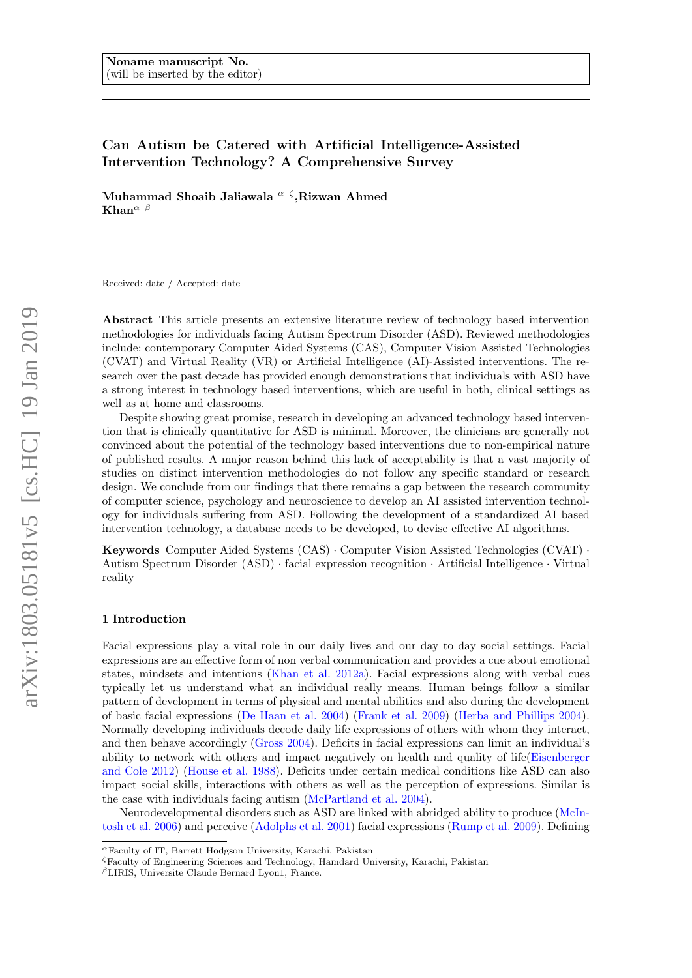# Can Autism be Catered with Artificial Intelligence-Assisted Intervention Technology? A Comprehensive Survey

Muhammad Shoaib Jaliawala α ζ, Rizwan Ahmed Khan<sup>α β</sup>

Received: date / Accepted: date

Abstract This article presents an extensive literature review of technology based intervention methodologies for individuals facing Autism Spectrum Disorder (ASD). Reviewed methodologies include: contemporary Computer Aided Systems (CAS), Computer Vision Assisted Technologies (CVAT) and Virtual Reality (VR) or Artificial Intelligence (AI)-Assisted interventions. The research over the past decade has provided enough demonstrations that individuals with ASD have a strong interest in technology based interventions, which are useful in both, clinical settings as well as at home and classrooms.

Despite showing great promise, research in developing an advanced technology based intervention that is clinically quantitative for ASD is minimal. Moreover, the clinicians are generally not convinced about the potential of the technology based interventions due to non-empirical nature of published results. A major reason behind this lack of acceptability is that a vast majority of studies on distinct intervention methodologies do not follow any specific standard or research design. We conclude from our findings that there remains a gap between the research community of computer science, psychology and neuroscience to develop an AI assisted intervention technology for individuals suffering from ASD. Following the development of a standardized AI based intervention technology, a database needs to be developed, to devise effective AI algorithms.

Keywords Computer Aided Systems (CAS) · Computer Vision Assisted Technologies (CVAT) · Autism Spectrum Disorder (ASD) · facial expression recognition · Artificial Intelligence · Virtual reality

## 1 Introduction

Facial expressions play a vital role in our daily lives and our day to day social settings. Facial expressions are an effective form of non verbal communication and provides a cue about emotional states, mindsets and intentions [\(Khan et al.](#page-32-0) [2012a\)](#page-32-0). Facial expressions along with verbal cues typically let us understand what an individual really means. Human beings follow a similar pattern of development in terms of physical and mental abilities and also during the development of basic facial expressions [\(De Haan et al.](#page-31-0) [2004\)](#page-31-0) [\(Frank et al.](#page-32-1) [2009\)](#page-32-1) [\(Herba and Phillips](#page-32-2) [2004\)](#page-32-2). Normally developing individuals decode daily life expressions of others with whom they interact, and then behave accordingly [\(Gross](#page-32-3) [2004\)](#page-32-3). Deficits in facial expressions can limit an individual's ability to network with others and impact negatively on health and quality of life[\(Eisenberger](#page-31-1) [and Cole](#page-31-1) [2012\)](#page-31-1) [\(House et al.](#page-32-4) [1988\)](#page-32-4). Deficits under certain medical conditions like ASD can also impact social skills, interactions with others as well as the perception of expressions. Similar is the case with individuals facing autism [\(McPartland et al.](#page-33-0) [2004\)](#page-33-0).

Neurodevelopmental disorders such as ASD are linked with abridged ability to produce [\(McIn](#page-33-1)[tosh et al.](#page-33-1) [2006\)](#page-33-1) and perceive [\(Adolphs et al.](#page-30-0) [2001\)](#page-30-0) facial expressions [\(Rump et al.](#page-33-2) [2009\)](#page-33-2). Defining

<sup>α</sup>Faculty of IT, Barrett Hodgson University, Karachi, Pakistan

<sup>ζ</sup>Faculty of Engineering Sciences and Technology, Hamdard University, Karachi, Pakistan

 $\beta$ LIRIS, Universite Claude Bernard Lyon1, France.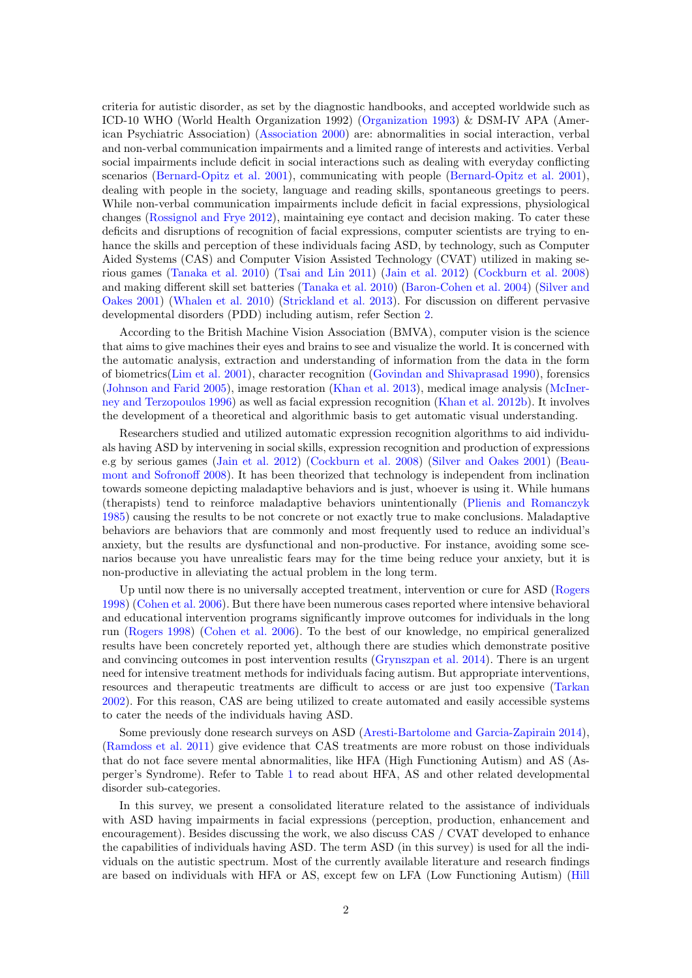criteria for autistic disorder, as set by the diagnostic handbooks, and accepted worldwide such as ICD-10 WHO (World Health Organization 1992) [\(Organization](#page-33-3) [1993\)](#page-33-3) & DSM-IV APA (American Psychiatric Association) [\(Association](#page-30-1) [2000\)](#page-30-1) are: abnormalities in social interaction, verbal and non-verbal communication impairments and a limited range of interests and activities. Verbal social impairments include deficit in social interactions such as dealing with everyday conflicting scenarios [\(Bernard-Opitz et al.](#page-31-2) [2001\)](#page-31-2), communicating with people [\(Bernard-Opitz et al.](#page-31-2) [2001\)](#page-31-2), dealing with people in the society, language and reading skills, spontaneous greetings to peers. While non-verbal communication impairments include deficit in facial expressions, physiological changes [\(Rossignol and Frye](#page-33-4) [2012\)](#page-33-4), maintaining eye contact and decision making. To cater these deficits and disruptions of recognition of facial expressions, computer scientists are trying to enhance the skills and perception of these individuals facing ASD, by technology, such as Computer Aided Systems (CAS) and Computer Vision Assisted Technology (CVAT) utilized in making serious games [\(Tanaka et al.](#page-34-0) [2010\)](#page-34-0) [\(Tsai and Lin](#page-34-1) [2011\)](#page-34-1) [\(Jain et al.](#page-32-5) [2012\)](#page-32-5) [\(Cockburn et al.](#page-31-3) [2008\)](#page-31-3) and making different skill set batteries [\(Tanaka et al.](#page-34-0) [2010\)](#page-34-0) [\(Baron-Cohen et al.](#page-31-4) [2004\)](#page-31-4) [\(Silver and](#page-34-2) [Oakes](#page-34-2) [2001\)](#page-34-2) [\(Whalen et al.](#page-34-3) [2010\)](#page-34-3) [\(Strickland et al.](#page-34-4) [2013\)](#page-34-4). For discussion on different pervasive developmental disorders (PDD) including autism, refer Section [2.](#page-2-0)

According to the British Machine Vision Association (BMVA), computer vision is the science that aims to give machines their eyes and brains to see and visualize the world. It is concerned with the automatic analysis, extraction and understanding of information from the data in the form of biometrics[\(Lim et al.](#page-33-5) [2001\)](#page-33-5), character recognition [\(Govindan and Shivaprasad](#page-32-6) [1990\)](#page-32-6), forensics [\(Johnson and Farid](#page-32-7) [2005\)](#page-32-7), image restoration [\(Khan et al.](#page-32-8) [2013\)](#page-32-8), medical image analysis [\(McIner](#page-33-6)[ney and Terzopoulos](#page-33-6) [1996\)](#page-33-6) as well as facial expression recognition [\(Khan et al.](#page-32-9) [2012b\)](#page-32-9). It involves the development of a theoretical and algorithmic basis to get automatic visual understanding.

Researchers studied and utilized automatic expression recognition algorithms to aid individuals having ASD by intervening in social skills, expression recognition and production of expressions e.g by serious games [\(Jain et al.](#page-32-5) [2012\)](#page-32-5) [\(Cockburn et al.](#page-31-3) [2008\)](#page-31-3) [\(Silver and Oakes](#page-34-2) [2001\)](#page-34-2) [\(Beau](#page-31-5)[mont and Sofronoff](#page-31-5) [2008\)](#page-31-5). It has been theorized that technology is independent from inclination towards someone depicting maladaptive behaviors and is just, whoever is using it. While humans (therapists) tend to reinforce maladaptive behaviors unintentionally [\(Plienis and Romanczyk](#page-33-7) [1985\)](#page-33-7) causing the results to be not concrete or not exactly true to make conclusions. Maladaptive behaviors are behaviors that are commonly and most frequently used to reduce an individual's anxiety, but the results are dysfunctional and non-productive. For instance, avoiding some scenarios because you have unrealistic fears may for the time being reduce your anxiety, but it is non-productive in alleviating the actual problem in the long term.

Up until now there is no universally accepted treatment, intervention or cure for ASD [\(Rogers](#page-33-8) [1998\)](#page-33-8) [\(Cohen et al.](#page-31-6) [2006\)](#page-31-6). But there have been numerous cases reported where intensive behavioral and educational intervention programs significantly improve outcomes for individuals in the long run [\(Rogers](#page-33-8) [1998\)](#page-33-8) [\(Cohen et al.](#page-31-6) [2006\)](#page-31-6). To the best of our knowledge, no empirical generalized results have been concretely reported yet, although there are studies which demonstrate positive and convincing outcomes in post intervention results [\(Grynszpan et al.](#page-32-10) [2014\)](#page-32-10). There is an urgent need for intensive treatment methods for individuals facing autism. But appropriate interventions, resources and therapeutic treatments are difficult to access or are just too expensive [\(Tarkan](#page-34-5) [2002\)](#page-34-5). For this reason, CAS are being utilized to create automated and easily accessible systems to cater the needs of the individuals having ASD.

Some previously done research surveys on ASD [\(Aresti-Bartolome and Garcia-Zapirain](#page-30-2) [2014\)](#page-30-2), [\(Ramdoss et al.](#page-33-9) [2011\)](#page-33-9) give evidence that CAS treatments are more robust on those individuals that do not face severe mental abnormalities, like HFA (High Functioning Autism) and AS (Asperger's Syndrome). Refer to Table [1](#page-3-0) to read about HFA, AS and other related developmental disorder sub-categories.

In this survey, we present a consolidated literature related to the assistance of individuals with ASD having impairments in facial expressions (perception, production, enhancement and encouragement). Besides discussing the work, we also discuss CAS / CVAT developed to enhance the capabilities of individuals having ASD. The term ASD (in this survey) is used for all the individuals on the autistic spectrum. Most of the currently available literature and research findings are based on individuals with HFA or AS, except few on LFA (Low Functioning Autism) [\(Hill](#page-32-11)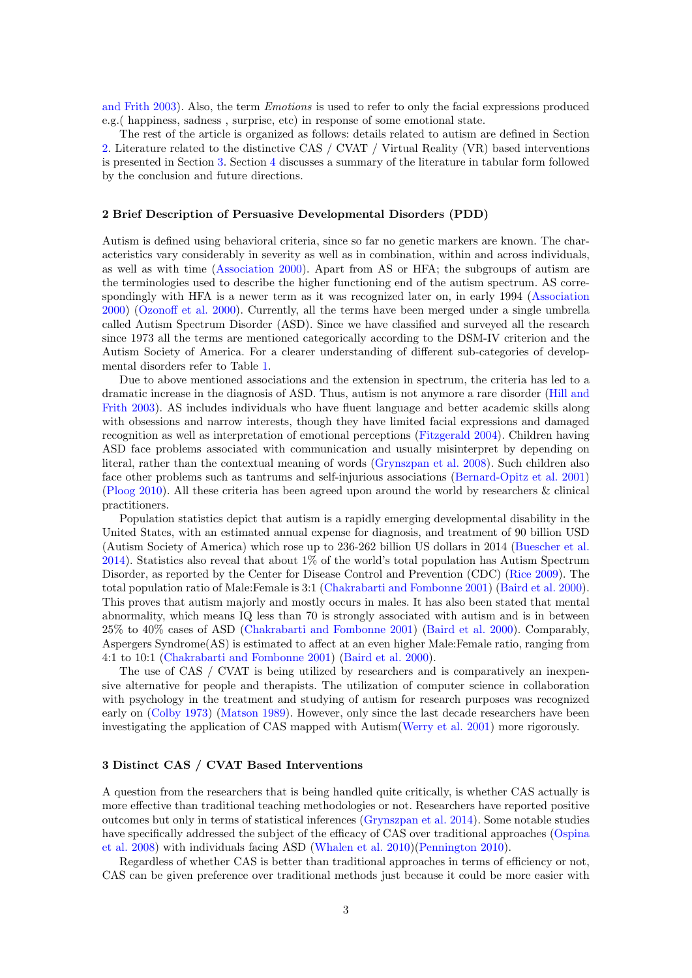[and Frith](#page-32-11) [2003\)](#page-32-11). Also, the term Emotions is used to refer to only the facial expressions produced e.g.( happiness, sadness , surprise, etc) in response of some emotional state.

The rest of the article is organized as follows: details related to autism are defined in Section [2.](#page-2-0) Literature related to the distinctive CAS / CVAT / Virtual Reality (VR) based interventions is presented in Section [3.](#page-2-1) Section [4](#page-12-0) discusses a summary of the literature in tabular form followed by the conclusion and future directions.

#### <span id="page-2-0"></span>2 Brief Description of Persuasive Developmental Disorders (PDD)

Autism is defined using behavioral criteria, since so far no genetic markers are known. The characteristics vary considerably in severity as well as in combination, within and across individuals, as well as with time [\(Association](#page-30-1) [2000\)](#page-30-1). Apart from AS or HFA; the subgroups of autism are the terminologies used to describe the higher functioning end of the autism spectrum. AS correspondingly with HFA is a newer term as it was recognized later on, in early 1994 [\(Association](#page-30-1) [2000\)](#page-30-1) [\(Ozonoff et al.](#page-33-10) [2000\)](#page-33-10). Currently, all the terms have been merged under a single umbrella called Autism Spectrum Disorder (ASD). Since we have classified and surveyed all the research since 1973 all the terms are mentioned categorically according to the DSM-IV criterion and the Autism Society of America. For a clearer understanding of different sub-categories of developmental disorders refer to Table [1.](#page-3-0)

Due to above mentioned associations and the extension in spectrum, the criteria has led to a dramatic increase in the diagnosis of ASD. Thus, autism is not anymore a rare disorder [\(Hill and](#page-32-11) [Frith](#page-32-11) [2003\)](#page-32-11). AS includes individuals who have fluent language and better academic skills along with obsessions and narrow interests, though they have limited facial expressions and damaged recognition as well as interpretation of emotional perceptions [\(Fitzgerald](#page-32-12) [2004\)](#page-32-12). Children having ASD face problems associated with communication and usually misinterpret by depending on literal, rather than the contextual meaning of words [\(Grynszpan et al.](#page-32-13) [2008\)](#page-32-13). Such children also face other problems such as tantrums and self-injurious associations [\(Bernard-Opitz et al.](#page-31-2) [2001\)](#page-31-2) [\(Ploog](#page-33-11) [2010\)](#page-33-11). All these criteria has been agreed upon around the world by researchers & clinical practitioners.

Population statistics depict that autism is a rapidly emerging developmental disability in the United States, with an estimated annual expense for diagnosis, and treatment of 90 billion USD (Autism Society of America) which rose up to 236-262 billion US dollars in 2014 [\(Buescher et al.](#page-31-7) [2014\)](#page-31-7). Statistics also reveal that about 1% of the world's total population has Autism Spectrum Disorder, as reported by the Center for Disease Control and Prevention (CDC) [\(Rice](#page-33-12) [2009\)](#page-33-12). The total population ratio of Male:Female is 3:1 [\(Chakrabarti and Fombonne](#page-31-8) [2001\)](#page-31-8) [\(Baird et al.](#page-30-3) [2000\)](#page-30-3). This proves that autism majorly and mostly occurs in males. It has also been stated that mental abnormality, which means IQ less than 70 is strongly associated with autism and is in between 25% to 40% cases of ASD [\(Chakrabarti and Fombonne](#page-31-8) [2001\)](#page-31-8) [\(Baird et al.](#page-30-3) [2000\)](#page-30-3). Comparably, Aspergers Syndrome(AS) is estimated to affect at an even higher Male:Female ratio, ranging from 4:1 to 10:1 [\(Chakrabarti and Fombonne](#page-31-8) [2001\)](#page-31-8) [\(Baird et al.](#page-30-3) [2000\)](#page-30-3).

The use of CAS / CVAT is being utilized by researchers and is comparatively an inexpensive alternative for people and therapists. The utilization of computer science in collaboration with psychology in the treatment and studying of autism for research purposes was recognized early on [\(Colby](#page-31-9) [1973\)](#page-31-9) [\(Matson](#page-33-13) [1989\)](#page-33-13). However, only since the last decade researchers have been investigating the application of CAS mapped with Autism[\(Werry et al.](#page-34-6) [2001\)](#page-34-6) more rigorously.

#### <span id="page-2-1"></span>3 Distinct CAS / CVAT Based Interventions

A question from the researchers that is being handled quite critically, is whether CAS actually is more effective than traditional teaching methodologies or not. Researchers have reported positive outcomes but only in terms of statistical inferences [\(Grynszpan et al.](#page-32-10) [2014\)](#page-32-10). Some notable studies have specifically addressed the subject of the efficacy of CAS over traditional approaches [\(Ospina](#page-33-14) [et al.](#page-33-14) [2008\)](#page-33-14) with individuals facing ASD [\(Whalen et al.](#page-34-3) [2010\)](#page-34-3)[\(Pennington](#page-33-15) [2010\)](#page-33-15).

Regardless of whether CAS is better than traditional approaches in terms of efficiency or not, CAS can be given preference over traditional methods just because it could be more easier with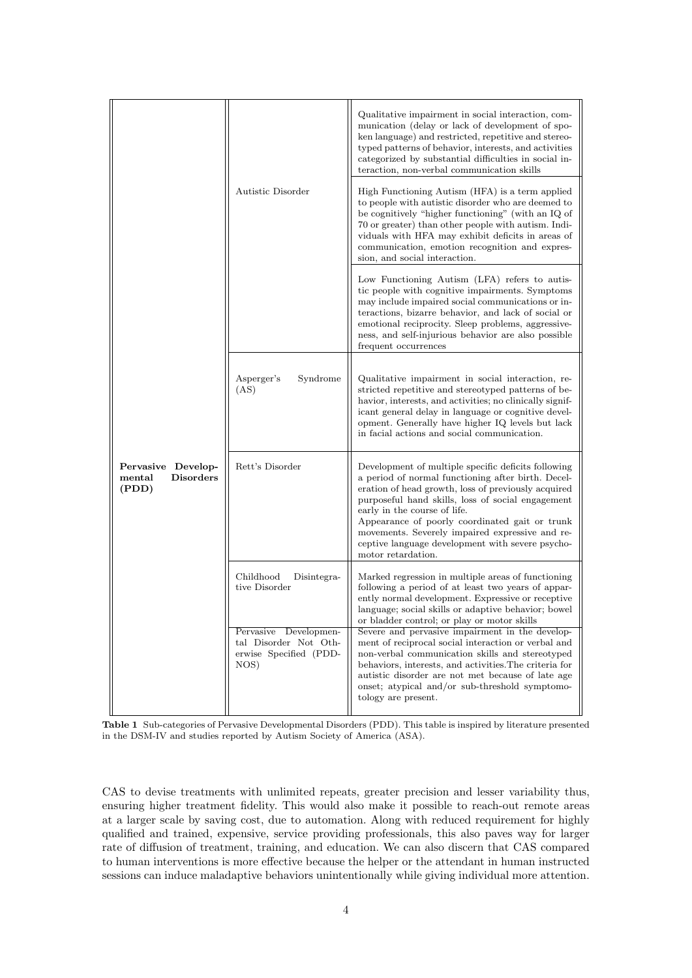|                                                                   |                                                                                  | Qualitative impairment in social interaction, com-<br>munication (delay or lack of development of spo-<br>ken language) and restricted, repetitive and stereo-<br>typed patterns of behavior, interests, and activities<br>categorized by substantial difficulties in social in-<br>teraction, non-verbal communication skills                                                                                                       |
|-------------------------------------------------------------------|----------------------------------------------------------------------------------|--------------------------------------------------------------------------------------------------------------------------------------------------------------------------------------------------------------------------------------------------------------------------------------------------------------------------------------------------------------------------------------------------------------------------------------|
|                                                                   | Autistic Disorder                                                                | High Functioning Autism (HFA) is a term applied<br>to people with autistic disorder who are deemed to<br>be cognitively "higher functioning" (with an IQ of<br>70 or greater) than other people with autism. Indi-<br>viduals with HFA may exhibit deficits in areas of<br>communication, emotion recognition and expres-<br>sion, and social interaction.                                                                           |
|                                                                   |                                                                                  | Low Functioning Autism (LFA) refers to autis-<br>tic people with cognitive impairments. Symptoms<br>may include impaired social communications or in-<br>teractions, bizarre behavior, and lack of social or<br>emotional reciprocity. Sleep problems, aggressive-<br>ness, and self-injurious behavior are also possible<br>frequent occurrences                                                                                    |
|                                                                   | Syndrome<br>Asperger's<br>(AS)                                                   | Qualitative impairment in social interaction, re-<br>stricted repetitive and stereotyped patterns of be-<br>havior, interests, and activities; no clinically signif-<br>icant general delay in language or cognitive devel-<br>opment. Generally have higher IQ levels but lack<br>in facial actions and social communication.                                                                                                       |
| Pervasive Develop-<br>$\bf{mental}$<br><b>Disorders</b><br>( PDD) | Rett's Disorder                                                                  | Development of multiple specific deficits following<br>a period of normal functioning after birth. Decel-<br>eration of head growth, loss of previously acquired<br>purposeful hand skills, loss of social engagement<br>early in the course of life.<br>Appearance of poorly coordinated gait or trunk<br>movements. Severely impaired expressive and re-<br>ceptive language development with severe psycho-<br>motor retardation. |
|                                                                   | Childhood<br>Disintegra-<br>tive Disorder                                        | Marked regression in multiple areas of functioning<br>following a period of at least two years of appar-<br>ently normal development. Expressive or receptive<br>language; social skills or adaptive behavior; bowel<br>or bladder control; or play or motor skills                                                                                                                                                                  |
|                                                                   | Pervasive Developmen-<br>tal Disorder Not Oth-<br>erwise Specified (PDD-<br>NOS) | Severe and pervasive impairment in the develop-<br>ment of reciprocal social interaction or verbal and<br>non-verbal communication skills and stereotyped<br>behaviors, interests, and activities. The criteria for<br>autistic disorder are not met because of late age<br>onset; atypical and/or sub-threshold symptomo-<br>tology are present.                                                                                    |

<span id="page-3-0"></span>Table 1 Sub-categories of Pervasive Developmental Disorders (PDD). This table is inspired by literature presented in the DSM-IV and studies reported by Autism Society of America (ASA).

CAS to devise treatments with unlimited repeats, greater precision and lesser variability thus, ensuring higher treatment fidelity. This would also make it possible to reach-out remote areas at a larger scale by saving cost, due to automation. Along with reduced requirement for highly qualified and trained, expensive, service providing professionals, this also paves way for larger rate of diffusion of treatment, training, and education. We can also discern that CAS compared to human interventions is more effective because the helper or the attendant in human instructed sessions can induce maladaptive behaviors unintentionally while giving individual more attention.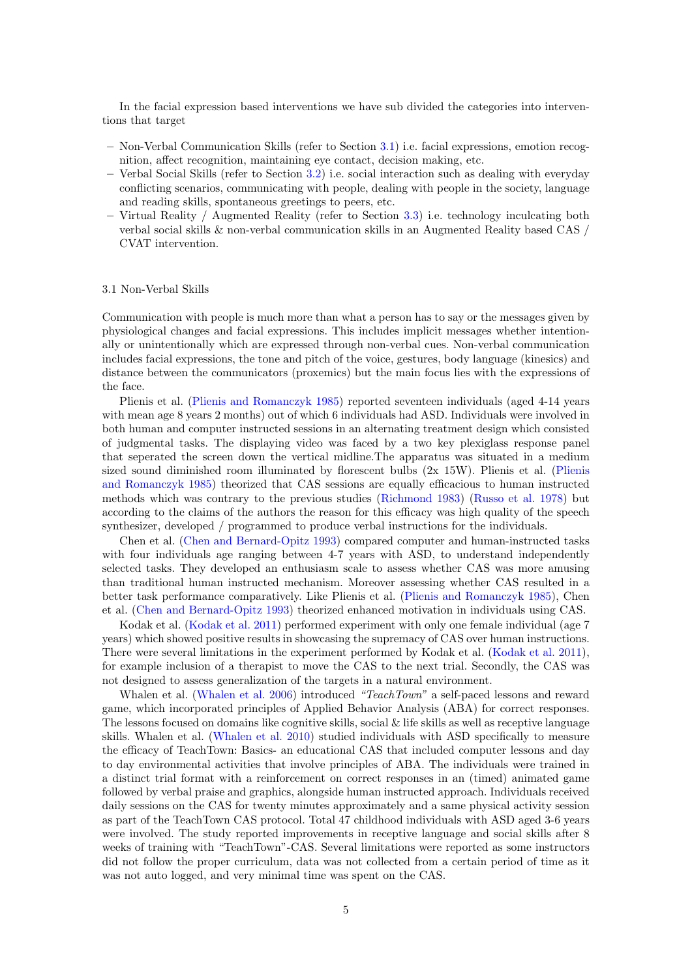In the facial expression based interventions we have sub divided the categories into interventions that target

- Non-Verbal Communication Skills (refer to Section [3.1\)](#page-4-0) i.e. facial expressions, emotion recognition, affect recognition, maintaining eye contact, decision making, etc.
- Verbal Social Skills (refer to Section [3.2\)](#page-8-0) i.e. social interaction such as dealing with everyday conflicting scenarios, communicating with people, dealing with people in the society, language and reading skills, spontaneous greetings to peers, etc.
- Virtual Reality / Augmented Reality (refer to Section [3.3\)](#page-10-0) i.e. technology inculcating both verbal social skills & non-verbal communication skills in an Augmented Reality based CAS / CVAT intervention.

## <span id="page-4-0"></span>3.1 Non-Verbal Skills

Communication with people is much more than what a person has to say or the messages given by physiological changes and facial expressions. This includes implicit messages whether intentionally or unintentionally which are expressed through non-verbal cues. Non-verbal communication includes facial expressions, the tone and pitch of the voice, gestures, body language (kinesics) and distance between the communicators (proxemics) but the main focus lies with the expressions of the face.

Plienis et al. [\(Plienis and Romanczyk](#page-33-7) [1985\)](#page-33-7) reported seventeen individuals (aged 4-14 years with mean age 8 years 2 months) out of which 6 individuals had ASD. Individuals were involved in both human and computer instructed sessions in an alternating treatment design which consisted of judgmental tasks. The displaying video was faced by a two key plexiglass response panel that seperated the screen down the vertical midline.The apparatus was situated in a medium sized sound diminished room illuminated by florescent bulbs (2x 15W). Plienis et al. [\(Plienis](#page-33-7) [and Romanczyk](#page-33-7) [1985\)](#page-33-7) theorized that CAS sessions are equally efficacious to human instructed methods which was contrary to the previous studies [\(Richmond](#page-33-16) [1983\)](#page-33-16) [\(Russo et al.](#page-34-7) [1978\)](#page-34-7) but according to the claims of the authors the reason for this efficacy was high quality of the speech synthesizer, developed / programmed to produce verbal instructions for the individuals.

Chen et al. [\(Chen and Bernard-Opitz](#page-31-10) [1993\)](#page-31-10) compared computer and human-instructed tasks with four individuals age ranging between 4-7 years with ASD, to understand independently selected tasks. They developed an enthusiasm scale to assess whether CAS was more amusing than traditional human instructed mechanism. Moreover assessing whether CAS resulted in a better task performance comparatively. Like Plienis et al. [\(Plienis and Romanczyk](#page-33-7) [1985\)](#page-33-7), Chen et al. [\(Chen and Bernard-Opitz](#page-31-10) [1993\)](#page-31-10) theorized enhanced motivation in individuals using CAS.

Kodak et al. [\(Kodak et al.](#page-33-17) [2011\)](#page-33-17) performed experiment with only one female individual (age 7 years) which showed positive results in showcasing the supremacy of CAS over human instructions. There were several limitations in the experiment performed by Kodak et al. [\(Kodak et al.](#page-33-17) [2011\)](#page-33-17), for example inclusion of a therapist to move the CAS to the next trial. Secondly, the CAS was not designed to assess generalization of the targets in a natural environment.

Whalen et al. [\(Whalen et al.](#page-34-8) [2006\)](#page-34-8) introduced "TeachTown" a self-paced lessons and reward game, which incorporated principles of Applied Behavior Analysis (ABA) for correct responses. The lessons focused on domains like cognitive skills, social & life skills as well as receptive language skills. Whalen et al. [\(Whalen et al.](#page-34-3) [2010\)](#page-34-3) studied individuals with ASD specifically to measure the efficacy of TeachTown: Basics- an educational CAS that included computer lessons and day to day environmental activities that involve principles of ABA. The individuals were trained in a distinct trial format with a reinforcement on correct responses in an (timed) animated game followed by verbal praise and graphics, alongside human instructed approach. Individuals received daily sessions on the CAS for twenty minutes approximately and a same physical activity session as part of the TeachTown CAS protocol. Total 47 childhood individuals with ASD aged 3-6 years were involved. The study reported improvements in receptive language and social skills after 8 weeks of training with "TeachTown"-CAS. Several limitations were reported as some instructors did not follow the proper curriculum, data was not collected from a certain period of time as it was not auto logged, and very minimal time was spent on the CAS.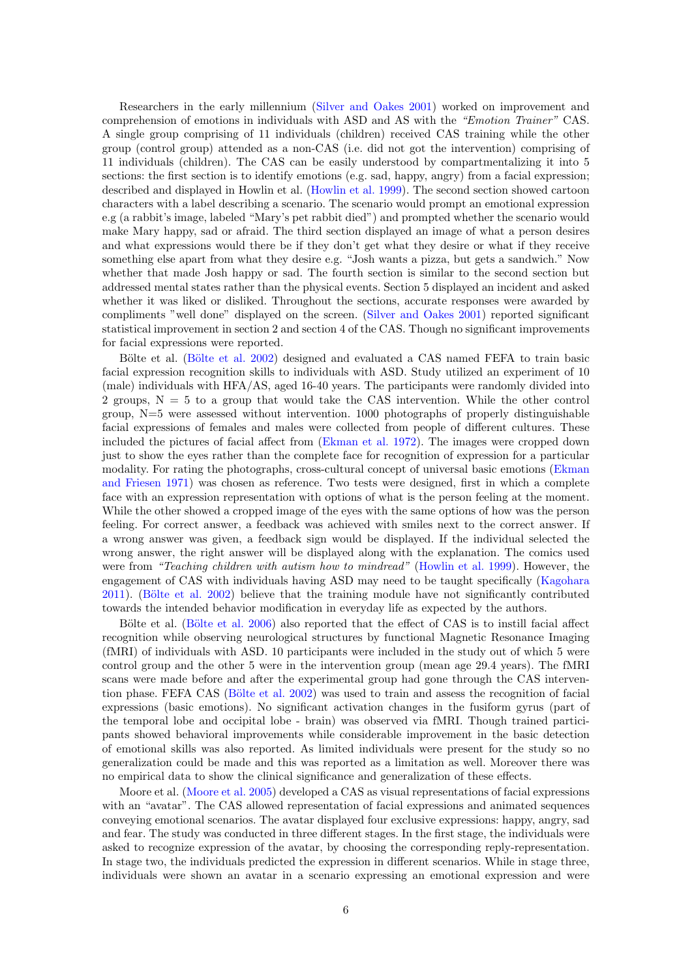Researchers in the early millennium [\(Silver and Oakes](#page-34-2) [2001\)](#page-34-2) worked on improvement and comprehension of emotions in individuals with ASD and AS with the "Emotion Trainer" CAS. A single group comprising of 11 individuals (children) received CAS training while the other group (control group) attended as a non-CAS (i.e. did not got the intervention) comprising of 11 individuals (children). The CAS can be easily understood by compartmentalizing it into 5 sections: the first section is to identify emotions (e.g. sad, happy, angry) from a facial expression; described and displayed in Howlin et al. [\(Howlin et al.](#page-32-14) [1999\)](#page-32-14). The second section showed cartoon characters with a label describing a scenario. The scenario would prompt an emotional expression e.g (a rabbit's image, labeled "Mary's pet rabbit died") and prompted whether the scenario would make Mary happy, sad or afraid. The third section displayed an image of what a person desires and what expressions would there be if they don't get what they desire or what if they receive something else apart from what they desire e.g. "Josh wants a pizza, but gets a sandwich." Now whether that made Josh happy or sad. The fourth section is similar to the second section but addressed mental states rather than the physical events. Section 5 displayed an incident and asked whether it was liked or disliked. Throughout the sections, accurate responses were awarded by compliments "well done" displayed on the screen. [\(Silver and Oakes](#page-34-2) [2001\)](#page-34-2) reported significant statistical improvement in section 2 and section 4 of the CAS. Though no significant improvements for facial expressions were reported.

Bölte et al. (Bölte et al. [2002\)](#page-31-11) designed and evaluated a CAS named FEFA to train basic facial expression recognition skills to individuals with ASD. Study utilized an experiment of 10 (male) individuals with HFA/AS, aged 16-40 years. The participants were randomly divided into 2 groups,  $N = 5$  to a group that would take the CAS intervention. While the other control group, N=5 were assessed without intervention. 1000 photographs of properly distinguishable facial expressions of females and males were collected from people of different cultures. These included the pictures of facial affect from [\(Ekman et al.](#page-31-12) [1972\)](#page-31-12). The images were cropped down just to show the eyes rather than the complete face for recognition of expression for a particular modality. For rating the photographs, cross-cultural concept of universal basic emotions [\(Ekman](#page-31-13) [and Friesen](#page-31-13) [1971\)](#page-31-13) was chosen as reference. Two tests were designed, first in which a complete face with an expression representation with options of what is the person feeling at the moment. While the other showed a cropped image of the eyes with the same options of how was the person feeling. For correct answer, a feedback was achieved with smiles next to the correct answer. If a wrong answer was given, a feedback sign would be displayed. If the individual selected the wrong answer, the right answer will be displayed along with the explanation. The comics used were from "Teaching children with autism how to mindread" [\(Howlin et al.](#page-32-14) [1999\)](#page-32-14). However, the engagement of CAS with individuals having ASD may need to be taught specifically [\(Kagohara](#page-32-15)  $2011$ ). (Bölte et al.  $2002$ ) believe that the training module have not significantly contributed towards the intended behavior modification in everyday life as expected by the authors.

Bölte et al. (Bölte et al. [2006\)](#page-31-14) also reported that the effect of CAS is to instill facial affect recognition while observing neurological structures by functional Magnetic Resonance Imaging (fMRI) of individuals with ASD. 10 participants were included in the study out of which 5 were control group and the other 5 were in the intervention group (mean age 29.4 years). The fMRI scans were made before and after the experimental group had gone through the CAS interven-tion phase. FEFA CAS (Bölte et al. [2002\)](#page-31-11) was used to train and assess the recognition of facial expressions (basic emotions). No significant activation changes in the fusiform gyrus (part of the temporal lobe and occipital lobe - brain) was observed via fMRI. Though trained participants showed behavioral improvements while considerable improvement in the basic detection of emotional skills was also reported. As limited individuals were present for the study so no generalization could be made and this was reported as a limitation as well. Moreover there was no empirical data to show the clinical significance and generalization of these effects.

Moore et al. [\(Moore et al.](#page-33-18) [2005\)](#page-33-18) developed a CAS as visual representations of facial expressions with an "avatar". The CAS allowed representation of facial expressions and animated sequences conveying emotional scenarios. The avatar displayed four exclusive expressions: happy, angry, sad and fear. The study was conducted in three different stages. In the first stage, the individuals were asked to recognize expression of the avatar, by choosing the corresponding reply-representation. In stage two, the individuals predicted the expression in different scenarios. While in stage three, individuals were shown an avatar in a scenario expressing an emotional expression and were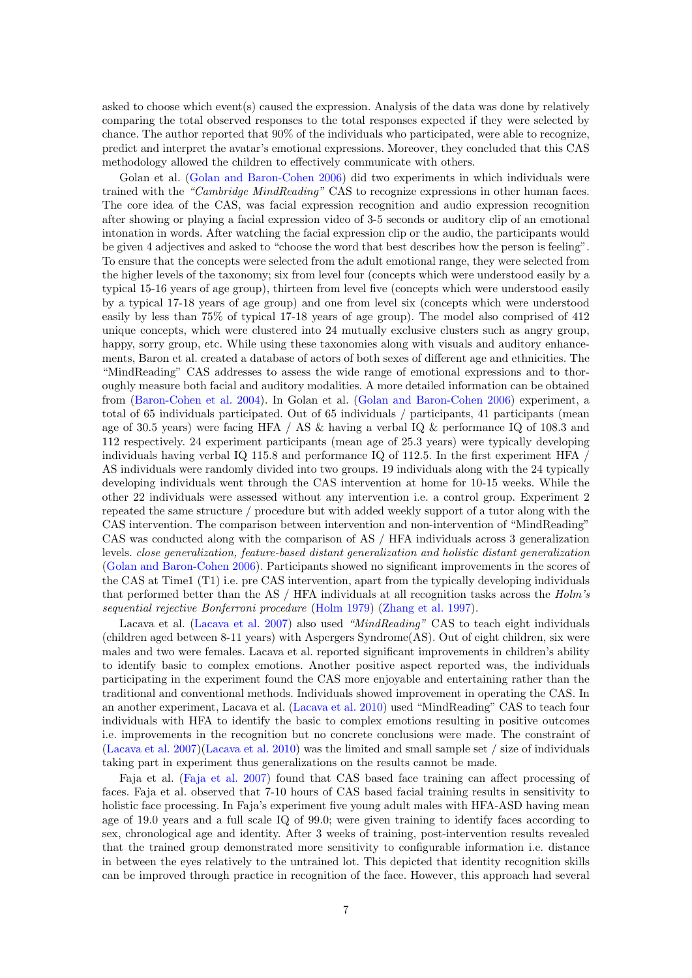asked to choose which event(s) caused the expression. Analysis of the data was done by relatively comparing the total observed responses to the total responses expected if they were selected by chance. The author reported that 90% of the individuals who participated, were able to recognize, predict and interpret the avatar's emotional expressions. Moreover, they concluded that this CAS methodology allowed the children to effectively communicate with others.

Golan et al. [\(Golan and Baron-Cohen](#page-32-16) [2006\)](#page-32-16) did two experiments in which individuals were trained with the "Cambridge MindReading" CAS to recognize expressions in other human faces. The core idea of the CAS, was facial expression recognition and audio expression recognition after showing or playing a facial expression video of 3-5 seconds or auditory clip of an emotional intonation in words. After watching the facial expression clip or the audio, the participants would be given 4 adjectives and asked to "choose the word that best describes how the person is feeling". To ensure that the concepts were selected from the adult emotional range, they were selected from the higher levels of the taxonomy; six from level four (concepts which were understood easily by a typical 15-16 years of age group), thirteen from level five (concepts which were understood easily by a typical 17-18 years of age group) and one from level six (concepts which were understood easily by less than 75% of typical 17-18 years of age group). The model also comprised of 412 unique concepts, which were clustered into 24 mutually exclusive clusters such as angry group, happy, sorry group, etc. While using these taxonomies along with visuals and auditory enhancements, Baron et al. created a database of actors of both sexes of different age and ethnicities. The "MindReading" CAS addresses to assess the wide range of emotional expressions and to thoroughly measure both facial and auditory modalities. A more detailed information can be obtained from [\(Baron-Cohen et al.](#page-31-4) [2004\)](#page-31-4). In Golan et al. [\(Golan and Baron-Cohen](#page-32-16) [2006\)](#page-32-16) experiment, a total of 65 individuals participated. Out of 65 individuals / participants, 41 participants (mean age of 30.5 years) were facing HFA / AS & having a verbal IQ & performance IQ of 108.3 and 112 respectively. 24 experiment participants (mean age of 25.3 years) were typically developing individuals having verbal IQ 115.8 and performance IQ of 112.5. In the first experiment HFA AS individuals were randomly divided into two groups. 19 individuals along with the 24 typically developing individuals went through the CAS intervention at home for 10-15 weeks. While the other 22 individuals were assessed without any intervention i.e. a control group. Experiment 2 repeated the same structure / procedure but with added weekly support of a tutor along with the CAS intervention. The comparison between intervention and non-intervention of "MindReading" CAS was conducted along with the comparison of AS / HFA individuals across 3 generalization levels. close generalization, feature-based distant generalization and holistic distant generalization [\(Golan and Baron-Cohen](#page-32-16) [2006\)](#page-32-16). Participants showed no significant improvements in the scores of the CAS at Time1 (T1) i.e. pre CAS intervention, apart from the typically developing individuals that performed better than the AS / HFA individuals at all recognition tasks across the Holm's sequential rejective Bonferroni procedure [\(Holm](#page-32-17) [1979\)](#page-32-17) [\(Zhang et al.](#page-34-9) [1997\)](#page-34-9).

Lacava et al. [\(Lacava et al.](#page-33-19) [2007\)](#page-33-19) also used "MindReading" CAS to teach eight individuals (children aged between 8-11 years) with Aspergers Syndrome(AS). Out of eight children, six were males and two were females. Lacava et al. reported significant improvements in children's ability to identify basic to complex emotions. Another positive aspect reported was, the individuals participating in the experiment found the CAS more enjoyable and entertaining rather than the traditional and conventional methods. Individuals showed improvement in operating the CAS. In an another experiment, Lacava et al. [\(Lacava et al.](#page-33-20) [2010\)](#page-33-20) used "MindReading" CAS to teach four individuals with HFA to identify the basic to complex emotions resulting in positive outcomes i.e. improvements in the recognition but no concrete conclusions were made. The constraint of [\(Lacava et al.](#page-33-19) [2007\)](#page-33-19)[\(Lacava et al.](#page-33-20) [2010\)](#page-33-20) was the limited and small sample set / size of individuals taking part in experiment thus generalizations on the results cannot be made.

Faja et al. [\(Faja et al.](#page-31-15) [2007\)](#page-31-15) found that CAS based face training can affect processing of faces. Faja et al. observed that 7-10 hours of CAS based facial training results in sensitivity to holistic face processing. In Faja's experiment five young adult males with HFA-ASD having mean age of 19.0 years and a full scale IQ of 99.0; were given training to identify faces according to sex, chronological age and identity. After 3 weeks of training, post-intervention results revealed that the trained group demonstrated more sensitivity to configurable information i.e. distance in between the eyes relatively to the untrained lot. This depicted that identity recognition skills can be improved through practice in recognition of the face. However, this approach had several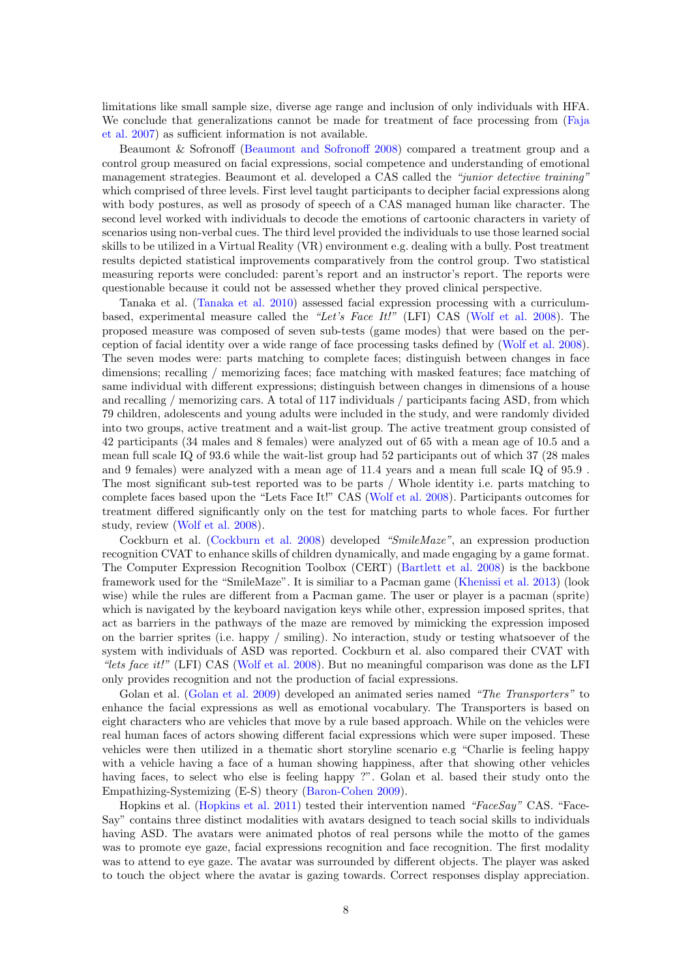limitations like small sample size, diverse age range and inclusion of only individuals with HFA. We conclude that generalizations cannot be made for treatment of face processing from [\(Faja](#page-31-15) [et al.](#page-31-15) [2007\)](#page-31-15) as sufficient information is not available.

Beaumont & Sofronoff [\(Beaumont and Sofronoff](#page-31-5) [2008\)](#page-31-5) compared a treatment group and a control group measured on facial expressions, social competence and understanding of emotional management strategies. Beaumont et al. developed a CAS called the "junior detective training" which comprised of three levels. First level taught participants to decipher facial expressions along with body postures, as well as prosody of speech of a CAS managed human like character. The second level worked with individuals to decode the emotions of cartoonic characters in variety of scenarios using non-verbal cues. The third level provided the individuals to use those learned social skills to be utilized in a Virtual Reality (VR) environment e.g. dealing with a bully. Post treatment results depicted statistical improvements comparatively from the control group. Two statistical measuring reports were concluded: parent's report and an instructor's report. The reports were questionable because it could not be assessed whether they proved clinical perspective.

Tanaka et al. [\(Tanaka et al.](#page-34-0) [2010\)](#page-34-0) assessed facial expression processing with a curriculumbased, experimental measure called the "Let's Face It!" (LFI) CAS [\(Wolf et al.](#page-34-10) [2008\)](#page-34-10). The proposed measure was composed of seven sub-tests (game modes) that were based on the perception of facial identity over a wide range of face processing tasks defined by [\(Wolf et al.](#page-34-10) [2008\)](#page-34-10). The seven modes were: parts matching to complete faces; distinguish between changes in face dimensions; recalling / memorizing faces; face matching with masked features; face matching of same individual with different expressions; distinguish between changes in dimensions of a house and recalling / memorizing cars. A total of 117 individuals / participants facing ASD, from which 79 children, adolescents and young adults were included in the study, and were randomly divided into two groups, active treatment and a wait-list group. The active treatment group consisted of 42 participants (34 males and 8 females) were analyzed out of 65 with a mean age of 10.5 and a mean full scale IQ of 93.6 while the wait-list group had 52 participants out of which 37 (28 males and 9 females) were analyzed with a mean age of 11.4 years and a mean full scale IQ of 95.9 . The most significant sub-test reported was to be parts / Whole identity i.e. parts matching to complete faces based upon the "Lets Face It!" CAS [\(Wolf et al.](#page-34-10) [2008\)](#page-34-10). Participants outcomes for treatment differed significantly only on the test for matching parts to whole faces. For further study, review [\(Wolf et al.](#page-34-10) [2008\)](#page-34-10).

Cockburn et al. [\(Cockburn et al.](#page-31-3) [2008\)](#page-31-3) developed "SmileMaze", an expression production recognition CVAT to enhance skills of children dynamically, and made engaging by a game format. The Computer Expression Recognition Toolbox (CERT) [\(Bartlett et al.](#page-31-16) [2008\)](#page-31-16) is the backbone framework used for the "SmileMaze". It is similiar to a Pacman game [\(Khenissi et al.](#page-32-18) [2013\)](#page-32-18) (look wise) while the rules are different from a Pacman game. The user or player is a pacman (sprite) which is navigated by the keyboard navigation keys while other, expression imposed sprites, that act as barriers in the pathways of the maze are removed by mimicking the expression imposed on the barrier sprites (i.e. happy / smiling). No interaction, study or testing whatsoever of the system with individuals of ASD was reported. Cockburn et al. also compared their CVAT with "lets face it!" (LFI) CAS [\(Wolf et al.](#page-34-10) [2008\)](#page-34-10). But no meaningful comparison was done as the LFI only provides recognition and not the production of facial expressions.

Golan et al. [\(Golan et al.](#page-32-19) [2009\)](#page-32-19) developed an animated series named "The Transporters" to enhance the facial expressions as well as emotional vocabulary. The Transporters is based on eight characters who are vehicles that move by a rule based approach. While on the vehicles were real human faces of actors showing different facial expressions which were super imposed. These vehicles were then utilized in a thematic short storyline scenario e.g "Charlie is feeling happy with a vehicle having a face of a human showing happiness, after that showing other vehicles having faces, to select who else is feeling happy ?". Golan et al. based their study onto the Empathizing-Systemizing (E-S) theory [\(Baron-Cohen](#page-31-17) [2009\)](#page-31-17).

Hopkins et al. [\(Hopkins et al.](#page-32-20) [2011\)](#page-32-20) tested their intervention named "FaceSay" CAS. "Face-Say" contains three distinct modalities with avatars designed to teach social skills to individuals having ASD. The avatars were animated photos of real persons while the motto of the games was to promote eye gaze, facial expressions recognition and face recognition. The first modality was to attend to eye gaze. The avatar was surrounded by different objects. The player was asked to touch the object where the avatar is gazing towards. Correct responses display appreciation.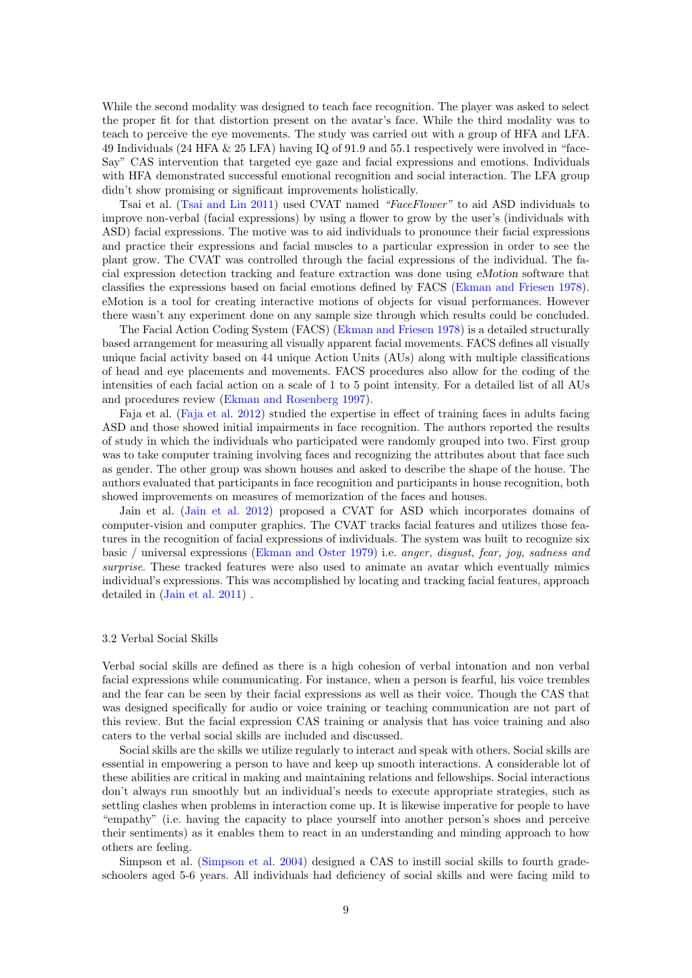While the second modality was designed to teach face recognition. The player was asked to select the proper fit for that distortion present on the avatar's face. While the third modality was to teach to perceive the eye movements. The study was carried out with a group of HFA and LFA. 49 Individuals (24 HFA & 25 LFA) having IQ of 91.9 and 55.1 respectively were involved in "face-Say" CAS intervention that targeted eye gaze and facial expressions and emotions. Individuals with HFA demonstrated successful emotional recognition and social interaction. The LFA group didn't show promising or significant improvements holistically.

Tsai et al. [\(Tsai and Lin](#page-34-1) [2011\)](#page-34-1) used CVAT named "FaceFlower" to aid ASD individuals to improve non-verbal (facial expressions) by using a flower to grow by the user's (individuals with ASD) facial expressions. The motive was to aid individuals to pronounce their facial expressions and practice their expressions and facial muscles to a particular expression in order to see the plant grow. The CVAT was controlled through the facial expressions of the individual. The facial expression detection tracking and feature extraction was done using eMotion software that classifies the expressions based on facial emotions defined by FACS [\(Ekman and Friesen](#page-31-18) [1978\)](#page-31-18). eMotion is a tool for creating interactive motions of objects for visual performances. However there wasn't any experiment done on any sample size through which results could be concluded.

The Facial Action Coding System (FACS) [\(Ekman and Friesen](#page-31-18) [1978\)](#page-31-18) is a detailed structurally based arrangement for measuring all visually apparent facial movements. FACS defines all visually unique facial activity based on 44 unique Action Units (AUs) along with multiple classifications of head and eye placements and movements. FACS procedures also allow for the coding of the intensities of each facial action on a scale of 1 to 5 point intensity. For a detailed list of all AUs and procedures review [\(Ekman and Rosenberg](#page-31-19) [1997\)](#page-31-19).

Faja et al. [\(Faja et al.](#page-31-20) [2012\)](#page-31-20) studied the expertise in effect of training faces in adults facing ASD and those showed initial impairments in face recognition. The authors reported the results of study in which the individuals who participated were randomly grouped into two. First group was to take computer training involving faces and recognizing the attributes about that face such as gender. The other group was shown houses and asked to describe the shape of the house. The authors evaluated that participants in face recognition and participants in house recognition, both showed improvements on measures of memorization of the faces and houses.

Jain et al. [\(Jain et al.](#page-32-5) [2012\)](#page-32-5) proposed a CVAT for ASD which incorporates domains of computer-vision and computer graphics. The CVAT tracks facial features and utilizes those features in the recognition of facial expressions of individuals. The system was built to recognize six basic / universal expressions [\(Ekman and Oster](#page-31-21) [1979\)](#page-31-21) i.e. anger, disgust, fear, joy, sadness and surprise. These tracked features were also used to animate an avatar which eventually mimics individual's expressions. This was accomplished by locating and tracking facial features, approach detailed in [\(Jain et al.](#page-32-21) [2011\)](#page-32-21).

## <span id="page-8-0"></span>3.2 Verbal Social Skills

Verbal social skills are defined as there is a high cohesion of verbal intonation and non verbal facial expressions while communicating. For instance, when a person is fearful, his voice trembles and the fear can be seen by their facial expressions as well as their voice. Though the CAS that was designed specifically for audio or voice training or teaching communication are not part of this review. But the facial expression CAS training or analysis that has voice training and also caters to the verbal social skills are included and discussed.

Social skills are the skills we utilize regularly to interact and speak with others. Social skills are essential in empowering a person to have and keep up smooth interactions. A considerable lot of these abilities are critical in making and maintaining relations and fellowships. Social interactions don't always run smoothly but an individual's needs to execute appropriate strategies, such as settling clashes when problems in interaction come up. It is likewise imperative for people to have "empathy" (i.e. having the capacity to place yourself into another person's shoes and perceive their sentiments) as it enables them to react in an understanding and minding approach to how others are feeling.

Simpson et al. [\(Simpson et al.](#page-34-11) [2004\)](#page-34-11) designed a CAS to instill social skills to fourth gradeschoolers aged 5-6 years. All individuals had deficiency of social skills and were facing mild to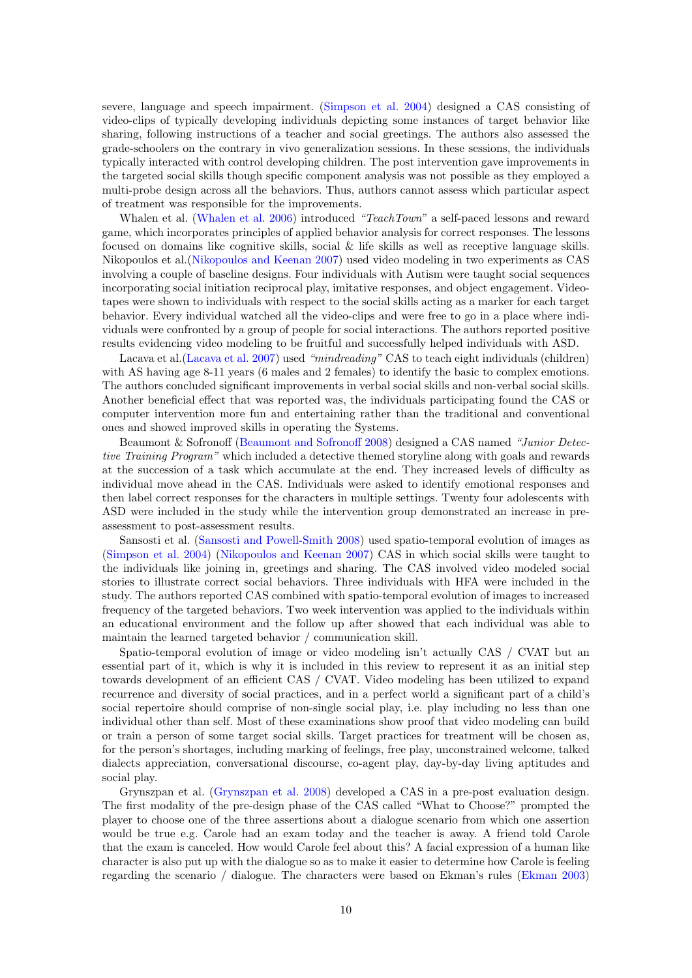severe, language and speech impairment. [\(Simpson et al.](#page-34-11) [2004\)](#page-34-11) designed a CAS consisting of video-clips of typically developing individuals depicting some instances of target behavior like sharing, following instructions of a teacher and social greetings. The authors also assessed the grade-schoolers on the contrary in vivo generalization sessions. In these sessions, the individuals typically interacted with control developing children. The post intervention gave improvements in the targeted social skills though specific component analysis was not possible as they employed a multi-probe design across all the behaviors. Thus, authors cannot assess which particular aspect of treatment was responsible for the improvements.

Whalen et al. [\(Whalen et al.](#page-34-8) [2006\)](#page-34-8) introduced "TeachTown" a self-paced lessons and reward game, which incorporates principles of applied behavior analysis for correct responses. The lessons focused on domains like cognitive skills, social & life skills as well as receptive language skills. Nikopoulos et al.[\(Nikopoulos and Keenan](#page-33-21) [2007\)](#page-33-21) used video modeling in two experiments as CAS involving a couple of baseline designs. Four individuals with Autism were taught social sequences incorporating social initiation reciprocal play, imitative responses, and object engagement. Videotapes were shown to individuals with respect to the social skills acting as a marker for each target behavior. Every individual watched all the video-clips and were free to go in a place where individuals were confronted by a group of people for social interactions. The authors reported positive results evidencing video modeling to be fruitful and successfully helped individuals with ASD.

Lacava et al.[\(Lacava et al.](#page-33-19) [2007\)](#page-33-19) used "mindreading" CAS to teach eight individuals (children) with AS having age 8-11 years (6 males and 2 females) to identify the basic to complex emotions. The authors concluded significant improvements in verbal social skills and non-verbal social skills. Another beneficial effect that was reported was, the individuals participating found the CAS or computer intervention more fun and entertaining rather than the traditional and conventional ones and showed improved skills in operating the Systems.

Beaumont & Sofronoff [\(Beaumont and Sofronoff](#page-31-5) [2008\)](#page-31-5) designed a CAS named "Junior Detective Training Program" which included a detective themed storyline along with goals and rewards at the succession of a task which accumulate at the end. They increased levels of difficulty as individual move ahead in the CAS. Individuals were asked to identify emotional responses and then label correct responses for the characters in multiple settings. Twenty four adolescents with ASD were included in the study while the intervention group demonstrated an increase in preassessment to post-assessment results.

Sansosti et al. [\(Sansosti and Powell-Smith](#page-34-12) [2008\)](#page-34-12) used spatio-temporal evolution of images as [\(Simpson et al.](#page-34-11) [2004\)](#page-34-11) [\(Nikopoulos and Keenan](#page-33-21) [2007\)](#page-33-21) CAS in which social skills were taught to the individuals like joining in, greetings and sharing. The CAS involved video modeled social stories to illustrate correct social behaviors. Three individuals with HFA were included in the study. The authors reported CAS combined with spatio-temporal evolution of images to increased frequency of the targeted behaviors. Two week intervention was applied to the individuals within an educational environment and the follow up after showed that each individual was able to maintain the learned targeted behavior / communication skill.

Spatio-temporal evolution of image or video modeling isn't actually CAS / CVAT but an essential part of it, which is why it is included in this review to represent it as an initial step towards development of an efficient CAS / CVAT. Video modeling has been utilized to expand recurrence and diversity of social practices, and in a perfect world a significant part of a child's social repertoire should comprise of non-single social play, i.e. play including no less than one individual other than self. Most of these examinations show proof that video modeling can build or train a person of some target social skills. Target practices for treatment will be chosen as, for the person's shortages, including marking of feelings, free play, unconstrained welcome, talked dialects appreciation, conversational discourse, co-agent play, day-by-day living aptitudes and social play.

Grynszpan et al. [\(Grynszpan et al.](#page-32-13) [2008\)](#page-32-13) developed a CAS in a pre-post evaluation design. The first modality of the pre-design phase of the CAS called "What to Choose?" prompted the player to choose one of the three assertions about a dialogue scenario from which one assertion would be true e.g. Carole had an exam today and the teacher is away. A friend told Carole that the exam is canceled. How would Carole feel about this? A facial expression of a human like character is also put up with the dialogue so as to make it easier to determine how Carole is feeling regarding the scenario / dialogue. The characters were based on Ekman's rules [\(Ekman](#page-31-22) [2003\)](#page-31-22)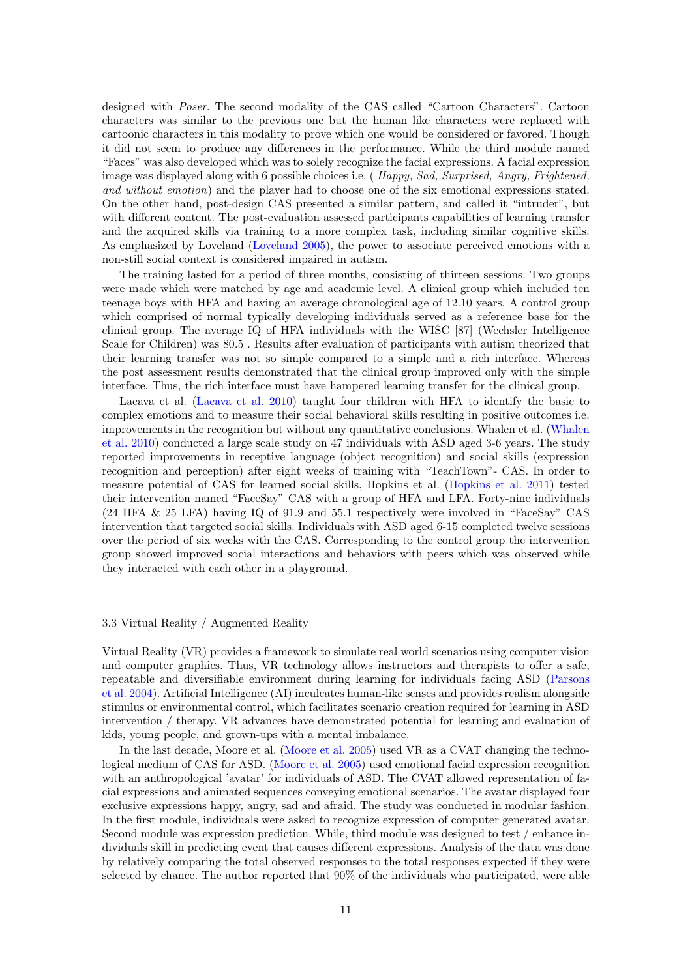designed with Poser. The second modality of the CAS called "Cartoon Characters". Cartoon characters was similar to the previous one but the human like characters were replaced with cartoonic characters in this modality to prove which one would be considered or favored. Though it did not seem to produce any differences in the performance. While the third module named "Faces" was also developed which was to solely recognize the facial expressions. A facial expression image was displayed along with 6 possible choices i.e. ( Happy, Sad, Surprised, Angry, Frightened, and without emotion) and the player had to choose one of the six emotional expressions stated. On the other hand, post-design CAS presented a similar pattern, and called it "intruder", but with different content. The post-evaluation assessed participants capabilities of learning transfer and the acquired skills via training to a more complex task, including similar cognitive skills. As emphasized by Loveland [\(Loveland](#page-33-22) [2005\)](#page-33-22), the power to associate perceived emotions with a non-still social context is considered impaired in autism.

The training lasted for a period of three months, consisting of thirteen sessions. Two groups were made which were matched by age and academic level. A clinical group which included ten teenage boys with HFA and having an average chronological age of 12.10 years. A control group which comprised of normal typically developing individuals served as a reference base for the clinical group. The average IQ of HFA individuals with the WISC [87] (Wechsler Intelligence Scale for Children) was 80.5 . Results after evaluation of participants with autism theorized that their learning transfer was not so simple compared to a simple and a rich interface. Whereas the post assessment results demonstrated that the clinical group improved only with the simple interface. Thus, the rich interface must have hampered learning transfer for the clinical group.

Lacava et al. [\(Lacava et al.](#page-33-20) [2010\)](#page-33-20) taught four children with HFA to identify the basic to complex emotions and to measure their social behavioral skills resulting in positive outcomes i.e. improvements in the recognition but without any quantitative conclusions. Whalen et al. [\(Whalen](#page-34-3) [et al.](#page-34-3) [2010\)](#page-34-3) conducted a large scale study on 47 individuals with ASD aged 3-6 years. The study reported improvements in receptive language (object recognition) and social skills (expression recognition and perception) after eight weeks of training with "TeachTown"- CAS. In order to measure potential of CAS for learned social skills, Hopkins et al. [\(Hopkins et al.](#page-32-20) [2011\)](#page-32-20) tested their intervention named "FaceSay" CAS with a group of HFA and LFA. Forty-nine individuals (24 HFA & 25 LFA) having IQ of 91.9 and 55.1 respectively were involved in "FaceSay" CAS intervention that targeted social skills. Individuals with ASD aged 6-15 completed twelve sessions over the period of six weeks with the CAS. Corresponding to the control group the intervention group showed improved social interactions and behaviors with peers which was observed while they interacted with each other in a playground.

## <span id="page-10-0"></span>3.3 Virtual Reality / Augmented Reality

Virtual Reality (VR) provides a framework to simulate real world scenarios using computer vision and computer graphics. Thus, VR technology allows instructors and therapists to offer a safe, repeatable and diversifiable environment during learning for individuals facing ASD [\(Parsons](#page-33-23) [et al.](#page-33-23) [2004\)](#page-33-23). Artificial Intelligence (AI) inculcates human-like senses and provides realism alongside stimulus or environmental control, which facilitates scenario creation required for learning in ASD intervention / therapy. VR advances have demonstrated potential for learning and evaluation of kids, young people, and grown-ups with a mental imbalance.

In the last decade, Moore et al. [\(Moore et al.](#page-33-18) [2005\)](#page-33-18) used VR as a CVAT changing the technological medium of CAS for ASD. [\(Moore et al.](#page-33-18) [2005\)](#page-33-18) used emotional facial expression recognition with an anthropological 'avatar' for individuals of ASD. The CVAT allowed representation of facial expressions and animated sequences conveying emotional scenarios. The avatar displayed four exclusive expressions happy, angry, sad and afraid. The study was conducted in modular fashion. In the first module, individuals were asked to recognize expression of computer generated avatar. Second module was expression prediction. While, third module was designed to test / enhance individuals skill in predicting event that causes different expressions. Analysis of the data was done by relatively comparing the total observed responses to the total responses expected if they were selected by chance. The author reported that 90% of the individuals who participated, were able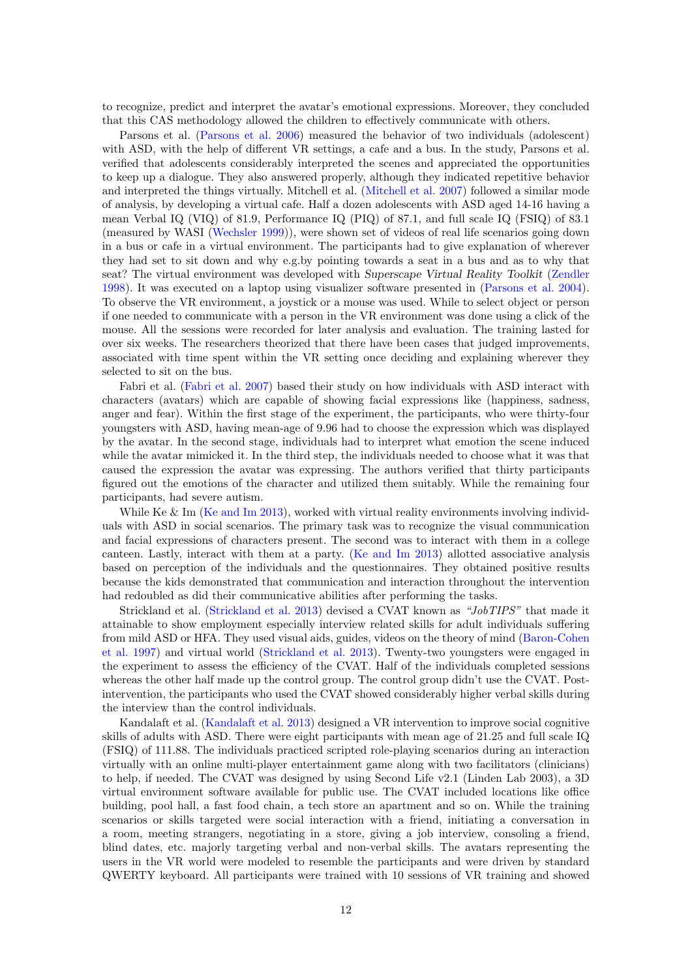to recognize, predict and interpret the avatar's emotional expressions. Moreover, they concluded that this CAS methodology allowed the children to effectively communicate with others.

Parsons et al. [\(Parsons et al.](#page-33-24) [2006\)](#page-33-24) measured the behavior of two individuals (adolescent) with ASD, with the help of different VR settings, a cafe and a bus. In the study, Parsons et al. verified that adolescents considerably interpreted the scenes and appreciated the opportunities to keep up a dialogue. They also answered properly, although they indicated repetitive behavior and interpreted the things virtually. Mitchell et al. [\(Mitchell et al.](#page-33-25) [2007\)](#page-33-25) followed a similar mode of analysis, by developing a virtual cafe. Half a dozen adolescents with ASD aged 14-16 having a mean Verbal IQ (VIQ) of 81.9, Performance IQ (PIQ) of 87.1, and full scale IQ (FSIQ) of 83.1 (measured by WASI [\(Wechsler](#page-34-13) [1999\)](#page-34-13)), were shown set of videos of real life scenarios going down in a bus or cafe in a virtual environment. The participants had to give explanation of wherever they had set to sit down and why e.g.by pointing towards a seat in a bus and as to why that seat? The virtual environment was developed with Superscape Virtual Reality Toolkit [\(Zendler](#page-34-14) [1998\)](#page-34-14). It was executed on a laptop using visualizer software presented in [\(Parsons et al.](#page-33-23) [2004\)](#page-33-23). To observe the VR environment, a joystick or a mouse was used. While to select object or person if one needed to communicate with a person in the VR environment was done using a click of the mouse. All the sessions were recorded for later analysis and evaluation. The training lasted for over six weeks. The researchers theorized that there have been cases that judged improvements, associated with time spent within the VR setting once deciding and explaining wherever they selected to sit on the bus.

Fabri et al. [\(Fabri et al.](#page-31-23) [2007\)](#page-31-23) based their study on how individuals with ASD interact with characters (avatars) which are capable of showing facial expressions like (happiness, sadness, anger and fear). Within the first stage of the experiment, the participants, who were thirty-four youngsters with ASD, having mean-age of 9.96 had to choose the expression which was displayed by the avatar. In the second stage, individuals had to interpret what emotion the scene induced while the avatar mimicked it. In the third step, the individuals needed to choose what it was that caused the expression the avatar was expressing. The authors verified that thirty participants figured out the emotions of the character and utilized them suitably. While the remaining four participants, had severe autism.

While Ke & Im [\(Ke and Im](#page-32-22) [2013\)](#page-32-22), worked with virtual reality environments involving individuals with ASD in social scenarios. The primary task was to recognize the visual communication and facial expressions of characters present. The second was to interact with them in a college canteen. Lastly, interact with them at a party. [\(Ke and Im](#page-32-22) [2013\)](#page-32-22) allotted associative analysis based on perception of the individuals and the questionnaires. They obtained positive results because the kids demonstrated that communication and interaction throughout the intervention had redoubled as did their communicative abilities after performing the tasks.

Strickland et al. [\(Strickland et al.](#page-34-4) [2013\)](#page-34-4) devised a CVAT known as "JobTIPS" that made it attainable to show employment especially interview related skills for adult individuals suffering from mild ASD or HFA. They used visual aids, guides, videos on the theory of mind [\(Baron-Cohen](#page-31-24) [et al.](#page-31-24) [1997\)](#page-31-24) and virtual world [\(Strickland et al.](#page-34-4) [2013\)](#page-34-4). Twenty-two youngsters were engaged in the experiment to assess the efficiency of the CVAT. Half of the individuals completed sessions whereas the other half made up the control group. The control group didn't use the CVAT. Postintervention, the participants who used the CVAT showed considerably higher verbal skills during the interview than the control individuals.

Kandalaft et al. [\(Kandalaft et al.](#page-32-23) [2013\)](#page-32-23) designed a VR intervention to improve social cognitive skills of adults with ASD. There were eight participants with mean age of 21.25 and full scale IQ (FSIQ) of 111.88. The individuals practiced scripted role-playing scenarios during an interaction virtually with an online multi-player entertainment game along with two facilitators (clinicians) to help, if needed. The CVAT was designed by using Second Life v2.1 (Linden Lab 2003), a 3D virtual environment software available for public use. The CVAT included locations like office building, pool hall, a fast food chain, a tech store an apartment and so on. While the training scenarios or skills targeted were social interaction with a friend, initiating a conversation in a room, meeting strangers, negotiating in a store, giving a job interview, consoling a friend, blind dates, etc. majorly targeting verbal and non-verbal skills. The avatars representing the users in the VR world were modeled to resemble the participants and were driven by standard QWERTY keyboard. All participants were trained with 10 sessions of VR training and showed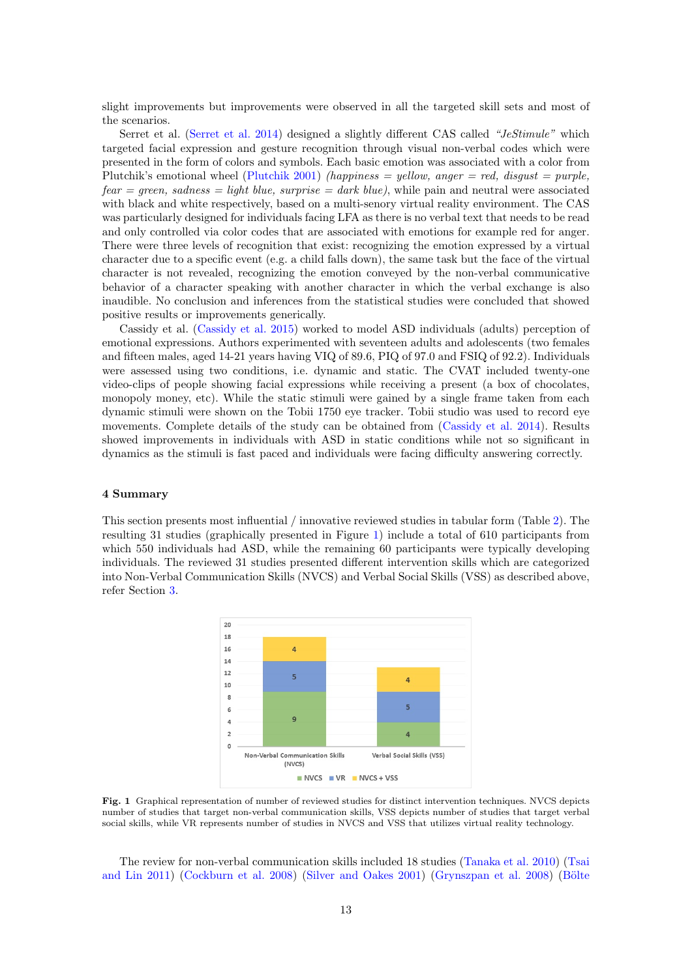slight improvements but improvements were observed in all the targeted skill sets and most of the scenarios.

Serret et al. [\(Serret et al.](#page-34-15) [2014\)](#page-34-15) designed a slightly different CAS called "JeStimule" which targeted facial expression and gesture recognition through visual non-verbal codes which were presented in the form of colors and symbols. Each basic emotion was associated with a color from Plutchik's emotional wheel [\(Plutchik](#page-33-26) [2001\)](#page-33-26) (happiness = yellow, anger = red, disgust = purple,  $fear = green, sadness = light blue, surprise = dark blue, while pain and neutral were associated$ with black and white respectively, based on a multi-senory virtual reality environment. The CAS was particularly designed for individuals facing LFA as there is no verbal text that needs to be read and only controlled via color codes that are associated with emotions for example red for anger. There were three levels of recognition that exist: recognizing the emotion expressed by a virtual character due to a specific event (e.g. a child falls down), the same task but the face of the virtual character is not revealed, recognizing the emotion conveyed by the non-verbal communicative behavior of a character speaking with another character in which the verbal exchange is also inaudible. No conclusion and inferences from the statistical studies were concluded that showed positive results or improvements generically.

Cassidy et al. [\(Cassidy et al.](#page-31-25) [2015\)](#page-31-25) worked to model ASD individuals (adults) perception of emotional expressions. Authors experimented with seventeen adults and adolescents (two females and fifteen males, aged 14-21 years having VIQ of 89.6, PIQ of 97.0 and FSIQ of 92.2). Individuals were assessed using two conditions, i.e. dynamic and static. The CVAT included twenty-one video-clips of people showing facial expressions while receiving a present (a box of chocolates, monopoly money, etc). While the static stimuli were gained by a single frame taken from each dynamic stimuli were shown on the Tobii 1750 eye tracker. Tobii studio was used to record eye movements. Complete details of the study can be obtained from [\(Cassidy et al.](#page-31-26) [2014\)](#page-31-26). Results showed improvements in individuals with ASD in static conditions while not so significant in dynamics as the stimuli is fast paced and individuals were facing difficulty answering correctly.

#### <span id="page-12-0"></span>4 Summary

This section presents most influential / innovative reviewed studies in tabular form (Table [2\)](#page-14-0). The resulting 31 studies (graphically presented in Figure [1\)](#page-12-1) include a total of 610 participants from which 550 individuals had ASD, while the remaining 60 participants were typically developing individuals. The reviewed 31 studies presented different intervention skills which are categorized into Non-Verbal Communication Skills (NVCS) and Verbal Social Skills (VSS) as described above, refer Section [3.](#page-2-1)



<span id="page-12-1"></span>Fig. 1 Graphical representation of number of reviewed studies for distinct intervention techniques. NVCS depicts number of studies that target non-verbal communication skills, VSS depicts number of studies that target verbal social skills, while VR represents number of studies in NVCS and VSS that utilizes virtual reality technology.

The review for non-verbal communication skills included 18 studies [\(Tanaka et al.](#page-34-0) [2010\)](#page-34-0) [\(Tsai](#page-34-1) [and Lin](#page-34-1) [2011\)](#page-34-1) [\(Cockburn et al.](#page-31-3) [2008\)](#page-32-13) [\(Silver and Oakes](#page-34-2) [2001\)](#page-34-2) [\(Grynszpan et al.](#page-32-13) 2008) (Bölte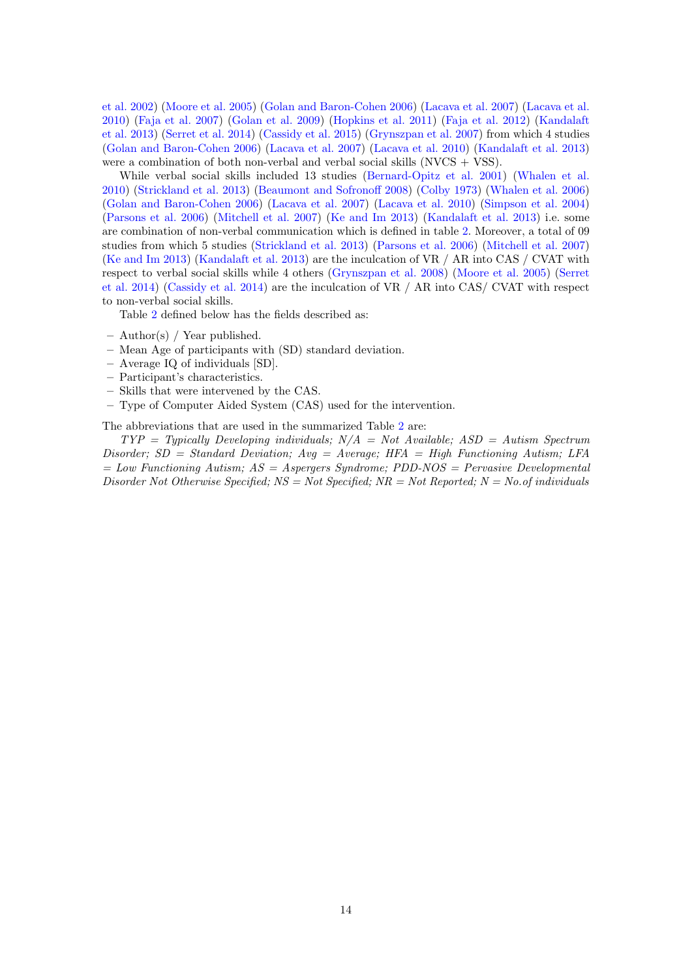[et al.](#page-31-11) [2002\)](#page-31-11) [\(Moore et al.](#page-33-18) [2005\)](#page-33-18) [\(Golan and Baron-Cohen](#page-32-16) [2006\)](#page-32-16) [\(Lacava et al.](#page-33-19) [2007\)](#page-33-19) [\(Lacava et al.](#page-33-20) [2010\)](#page-33-20) [\(Faja et al.](#page-31-15) [2007\)](#page-31-15) [\(Golan et al.](#page-32-19) [2009\)](#page-32-19) [\(Hopkins et al.](#page-32-20) [2011\)](#page-32-20) [\(Faja et al.](#page-31-20) [2012\)](#page-31-20) [\(Kandalaft](#page-32-23) [et al.](#page-32-23) [2013\)](#page-32-23) [\(Serret et al.](#page-34-15) [2014\)](#page-34-15) [\(Cassidy et al.](#page-31-25) [2015\)](#page-31-25) [\(Grynszpan et al.](#page-32-24) [2007\)](#page-32-24) from which 4 studies [\(Golan and Baron-Cohen](#page-32-16) [2006\)](#page-32-16) [\(Lacava et al.](#page-33-19) [2007\)](#page-33-19) [\(Lacava et al.](#page-33-20) [2010\)](#page-33-20) [\(Kandalaft et al.](#page-32-23) [2013\)](#page-32-23) were a combination of both non-verbal and verbal social skills (NVCS + VSS).

While verbal social skills included 13 studies [\(Bernard-Opitz et al.](#page-31-2) [2001\)](#page-31-2) [\(Whalen et al.](#page-34-3) [2010\)](#page-34-3) [\(Strickland et al.](#page-34-4) [2013\)](#page-34-4) [\(Beaumont and Sofronoff](#page-31-5) [2008\)](#page-31-5) [\(Colby](#page-31-9) [1973\)](#page-31-9) [\(Whalen et al.](#page-34-8) [2006\)](#page-34-8) [\(Golan and Baron-Cohen](#page-32-16) [2006\)](#page-32-16) [\(Lacava et al.](#page-33-19) [2007\)](#page-33-19) [\(Lacava et al.](#page-33-20) [2010\)](#page-33-20) [\(Simpson et al.](#page-34-11) [2004\)](#page-34-11) [\(Parsons et al.](#page-33-24) [2006\)](#page-33-24) [\(Mitchell et al.](#page-33-25) [2007\)](#page-33-25) [\(Ke and Im](#page-32-22) [2013\)](#page-32-22) [\(Kandalaft et al.](#page-32-23) [2013\)](#page-32-23) i.e. some are combination of non-verbal communication which is defined in table [2.](#page-14-0) Moreover, a total of 09 studies from which 5 studies [\(Strickland et al.](#page-34-4) [2013\)](#page-34-4) [\(Parsons et al.](#page-33-24) [2006\)](#page-33-24) [\(Mitchell et al.](#page-33-25) [2007\)](#page-33-25) [\(Ke and Im](#page-32-22) [2013\)](#page-32-22) [\(Kandalaft et al.](#page-32-23) [2013\)](#page-32-23) are the inculcation of VR / AR into CAS / CVAT with respect to verbal social skills while 4 others [\(Grynszpan et al.](#page-32-13) [2008\)](#page-32-13) [\(Moore et al.](#page-33-18) [2005\)](#page-33-18) [\(Serret](#page-34-15) [et al.](#page-34-15) [2014\)](#page-34-15) [\(Cassidy et al.](#page-31-26) [2014\)](#page-31-26) are the inculcation of VR / AR into CAS/ CVAT with respect to non-verbal social skills.

Table [2](#page-14-0) defined below has the fields described as:

- Author(s) / Year published.
- Mean Age of participants with (SD) standard deviation.
- Average IQ of individuals [SD].
- Participant's characteristics.
- Skills that were intervened by the CAS.
- Type of Computer Aided System (CAS) used for the intervention.

The abbreviations that are used in the summarized Table [2](#page-14-0) are:

 $TYP = Twically Developing individuals$ ;  $N/A = Not Available$ ;  $ASD = Autism Spectrum$ Disorder;  $SD = Standard Deviation$ ;  $Avg = Average$ ;  $HFA = High Functioning Attism$ ; LFA  $= Low \ Functioning \ Atism; AS = Aspergers \ Syndrome; \ PDD-NOS = Pervasive \ Developmental$ Disorder Not Otherwise Specified;  $NS = Not$  Specified;  $NR = Not$  Reported;  $N = No$  of individuals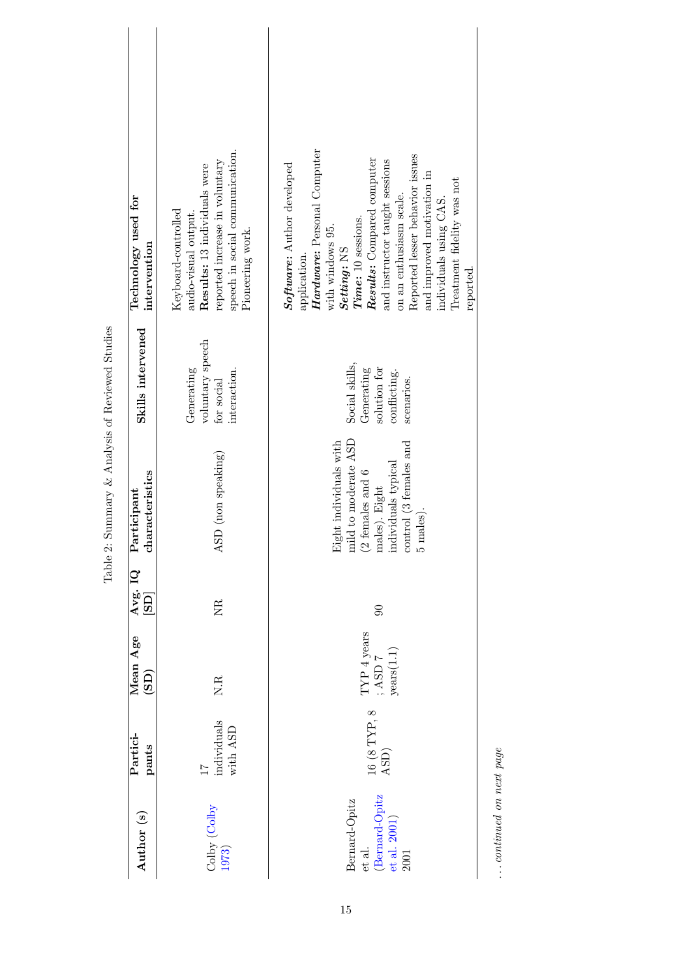<span id="page-14-0"></span>

| Technology used for<br>intervention    | speech in social communication.<br>reported increase in voluntary<br>Results: 13 individuals were<br>Keyboard-controlled<br>audio-visual output.<br>Pioneering work. | Hardware: Personal Computer<br>Reported lesser behavior issues<br>Results: Compared computer<br>and instructor taught sessions<br>Software: Author developed<br>and improved motivation in<br>Treatment fidelity was not<br>on an enthusiasm scale.<br>individuals using CAS.<br>Time: 10 sessions.<br>with windows 95.<br>Setting: NS<br>application.<br>reported. |
|----------------------------------------|----------------------------------------------------------------------------------------------------------------------------------------------------------------------|---------------------------------------------------------------------------------------------------------------------------------------------------------------------------------------------------------------------------------------------------------------------------------------------------------------------------------------------------------------------|
| Skills intervened                      | voluntary speech<br>interaction.<br>Generating<br>for social                                                                                                         | Social skills,<br>solution for<br>Generating<br>conflicting.<br>scenarios.                                                                                                                                                                                                                                                                                          |
| characteristics<br>Participant         | ASD (non speaking)                                                                                                                                                   | mild to moderate ASD<br>Eight individuals with<br>control (3 females and<br>individuals typical<br>(2 females and $6\,$<br>males). Eight<br>5 males).                                                                                                                                                                                                               |
| Avg. IQ<br>$ \mathrm{SD} $             | NR.                                                                                                                                                                  | $\infty$                                                                                                                                                                                                                                                                                                                                                            |
| Mean Age<br>$\overline{\mathrm{(SD)}}$ | N.R                                                                                                                                                                  | $\ensuremath{\text{TYP}}\xspace$ 4 years<br>years(1.1)<br>ASD 7                                                                                                                                                                                                                                                                                                     |
| Partici-<br>pants                      | individuals<br>with ASD                                                                                                                                              | $16$ (8 TYP, 8 ASD)                                                                                                                                                                                                                                                                                                                                                 |
| Author (s)                             | $\mathrm{Coly}$ (Colby $1973)$                                                                                                                                       | $\begin{array}{l} \text{(Bernard-Opitz)}\\ \text{et al. } 2001)\\ 2001 \end{array}$<br>Bernard-Opitz<br>et al.                                                                                                                                                                                                                                                      |
|                                        |                                                                                                                                                                      |                                                                                                                                                                                                                                                                                                                                                                     |

 $\ldots$  continued on next page  $\dots$  continued on next page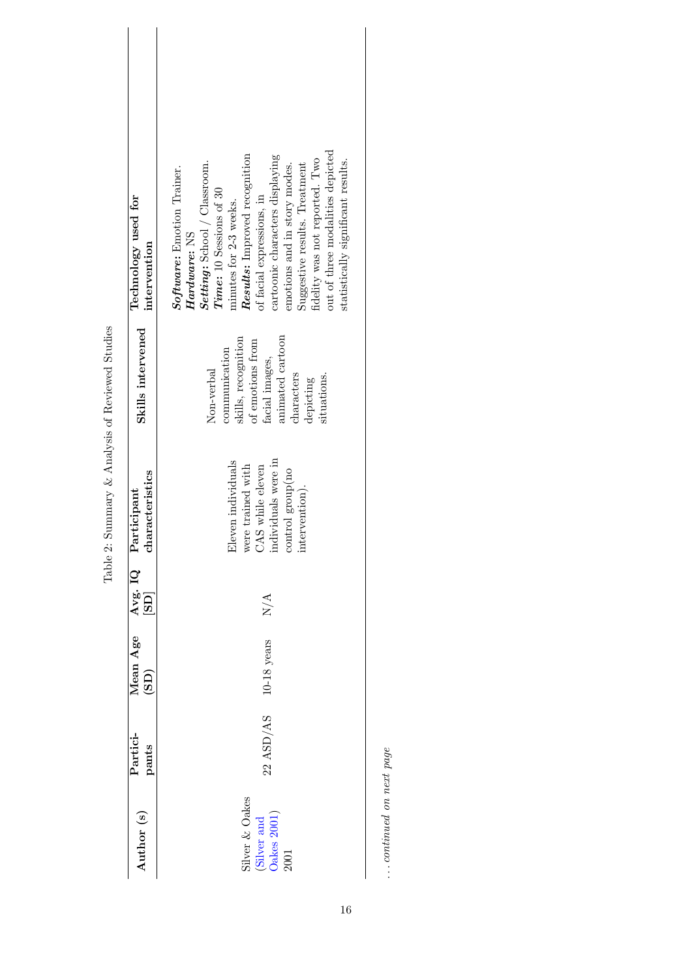| Technology used for<br>intervention             | out of three modalities depicted<br>Results: Improved recognition<br>cartoonic characters displaying<br>fidelity was not reported. Two<br>statistically significant results.<br>$Setting: \textit{ School} \text{ /} \textit{Classification}.$<br>Suggestive results. Treatment<br>emotions and in story modes.<br>$\mathit{Software}$ : Emotion Trainer.<br>Time: 10 Sessions of 30<br>of facial expressions, in<br>minutes for 2-3 weeks.<br>Hardware: NS |
|-------------------------------------------------|-------------------------------------------------------------------------------------------------------------------------------------------------------------------------------------------------------------------------------------------------------------------------------------------------------------------------------------------------------------------------------------------------------------------------------------------------------------|
| Skills intervened                               | animated cartoon<br>skills, recognition<br>of emotions from<br>communication<br>facial images,<br>Non-verbal<br>characters<br>situations.<br>depicting                                                                                                                                                                                                                                                                                                      |
| characteristics<br>Mean Age Avg. IQ Participant | individuals were in<br>leven individuals<br>were trained with<br>CAS while eleven<br>control group(no<br>intervention).<br>畐                                                                                                                                                                                                                                                                                                                                |
| SD                                              | N/A                                                                                                                                                                                                                                                                                                                                                                                                                                                         |
| $\overline{\textbf{(SD)}}$                      | $22$ ASD/AS $10-18$ years                                                                                                                                                                                                                                                                                                                                                                                                                                   |
| Partici-<br>pants                               |                                                                                                                                                                                                                                                                                                                                                                                                                                                             |
| Author (s)                                      | Silver & Oakes<br>$\begin{array}{c} \text{(Silver and} \\ \text{Oakes } 2001) \\ 2001 \end{array}$                                                                                                                                                                                                                                                                                                                                                          |

> $\ldots$  continued on next page  $\ldots$  continued on next page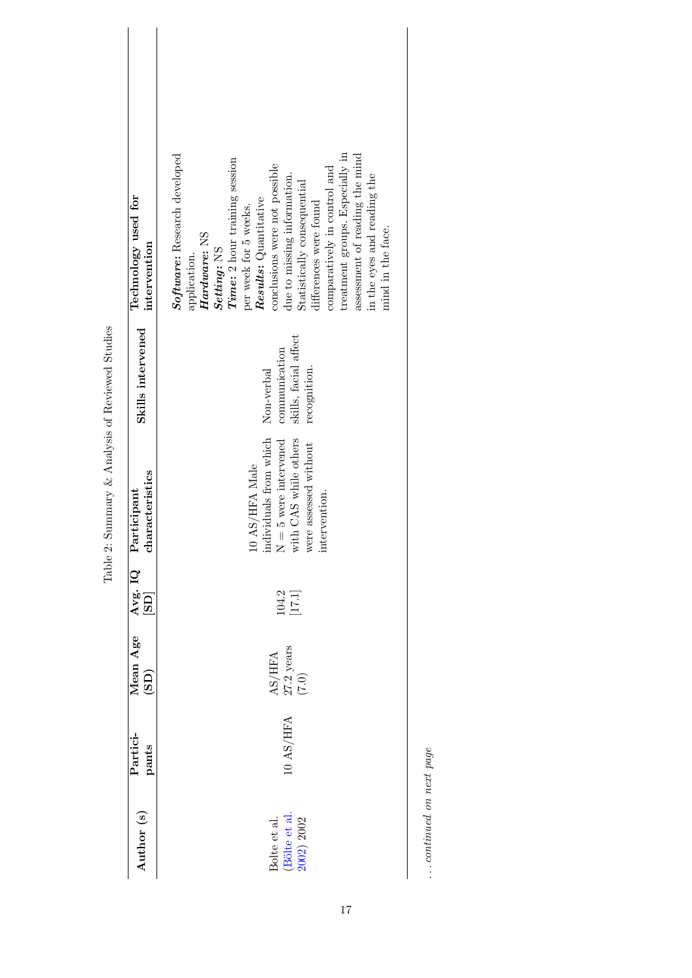| Technology used for<br>intervention     | assessment of reading the mind<br>Software: Research developed<br>treatment groups. Especially in<br>Time: 2 hour training session<br>conclusions were not possible<br>comparatively in control and<br>in the eyes and reading the<br>due to missing information.<br>Statistically consequential<br>Results: Quantitative<br>differences were found<br>per week for 5 weeks.<br>mind in the face.<br>Hardware: NS<br>Setting: NS<br>application. |
|-----------------------------------------|--------------------------------------------------------------------------------------------------------------------------------------------------------------------------------------------------------------------------------------------------------------------------------------------------------------------------------------------------------------------------------------------------------------------------------------------------|
| Skills intervened                       | skills, facial affect<br>communication<br>recognition.<br>Non-verbal                                                                                                                                                                                                                                                                                                                                                                             |
| characteristics<br>Avg. IQ Participant  | individuals from which<br>with CAS while others<br>$= 5$ were intervened<br>were assessed without<br>AS/HFA Male<br>intervention.<br>$\overline{z}$                                                                                                                                                                                                                                                                                              |
| SD                                      | $104.2$<br>[17.1]                                                                                                                                                                                                                                                                                                                                                                                                                                |
| Mean Age<br>$\widetilde{\mathrm{(SD)}}$ | $27.2$ years<br>$(7.0)$<br>AS/HFA                                                                                                                                                                                                                                                                                                                                                                                                                |
| Partici-<br>pants                       | 10 AS/HFA                                                                                                                                                                                                                                                                                                                                                                                                                                        |
| Author (s)                              | $\begin{array}{l} \text{(Bölte et al.)}\\ 2002)~2002 \end{array}$<br>Bolte et al.                                                                                                                                                                                                                                                                                                                                                                |

 $\dots$  continued on next page  $\dots$  continued on next page

Table 2: Summary  $\&$  Analysis of Reviewed Studies Table 2: Summary & Analysis of Reviewed Studies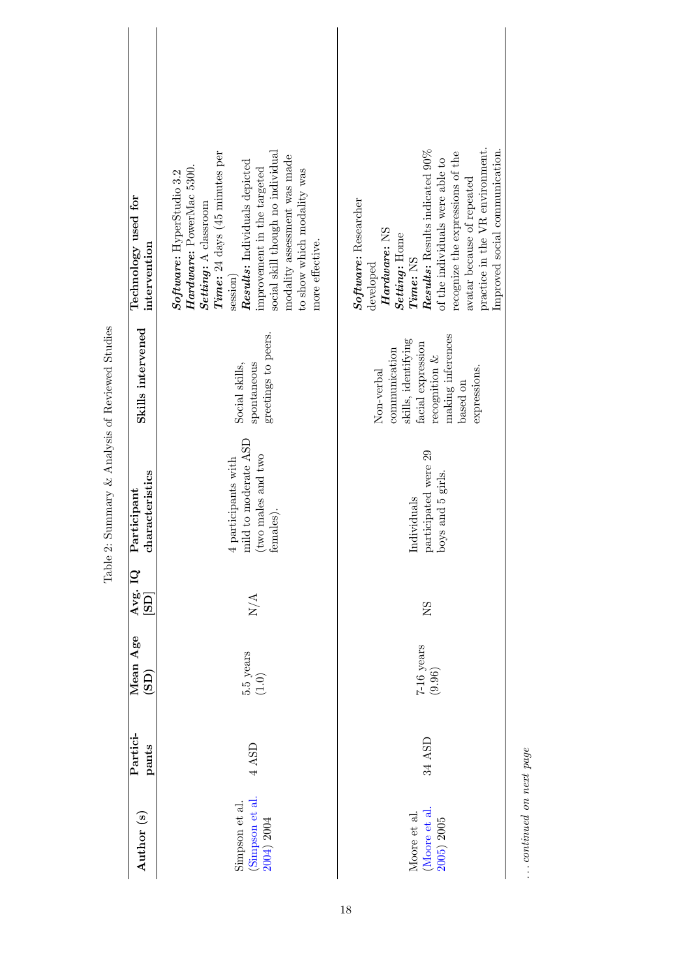|                                        | Technology used for<br>intervention  | $Time: 24 \text{ days}$ (45 minutes per<br>social skill though no individual<br>modality assessment was made<br>Results: Individuals depicted<br>Hardware: PowerMac 5300.<br>improvement in the targeted<br>to show which modality was<br>$\it Software:$ HyperStudio 3.2<br>Setting: A classroom<br>more effective.<br>session) | practice in the VR environment.<br>Results: Results indicated 90%<br>Improved social communication.<br>recognize the expressions of the<br>of the individuals were able to<br>avatar because of repeated<br>Software: Researcher<br>Hardware: NS<br>Setting: Home<br>Time: NS<br>developed |
|----------------------------------------|--------------------------------------|----------------------------------------------------------------------------------------------------------------------------------------------------------------------------------------------------------------------------------------------------------------------------------------------------------------------------------|--------------------------------------------------------------------------------------------------------------------------------------------------------------------------------------------------------------------------------------------------------------------------------------------|
|                                        | Skills intervened                    | greetings to peers.<br>spontaneous<br>Social skills,                                                                                                                                                                                                                                                                             | making inferences<br>skills, identifying<br>facial expression<br>communication<br>recognition $&$<br>expressions.<br>Non-verbal<br>based on                                                                                                                                                |
| Summary & Analysis of Reviewed Studies | Participant<br>characteristics       | mild to moderate $\Delta SD$<br>(two males and two<br>females).<br>4 participants with                                                                                                                                                                                                                                           | participated were 29<br>boys and 5 girls.<br>Individuals                                                                                                                                                                                                                                   |
| Table 2:                               | $\frac{\text{Avg. IQ}}{\text{[SD]}}$ | N/A                                                                                                                                                                                                                                                                                                                              | SN                                                                                                                                                                                                                                                                                         |
|                                        | Mean Age<br>(SD)                     | 5.5 years<br>$(1.0)$                                                                                                                                                                                                                                                                                                             | $7-16$ years<br>(9.96)                                                                                                                                                                                                                                                                     |
|                                        | Partici-<br>pants                    | $4$ ASD                                                                                                                                                                                                                                                                                                                          | 34 ASD                                                                                                                                                                                                                                                                                     |
|                                        | Author (s)                           | (Simpson et al.<br>Simpson et al.<br>2004) 2004                                                                                                                                                                                                                                                                                  | (Moore et al.<br>Moore et al.<br>2005) 2005                                                                                                                                                                                                                                                |

 $\dots$  continued on next page  $\ldots$  continued on next page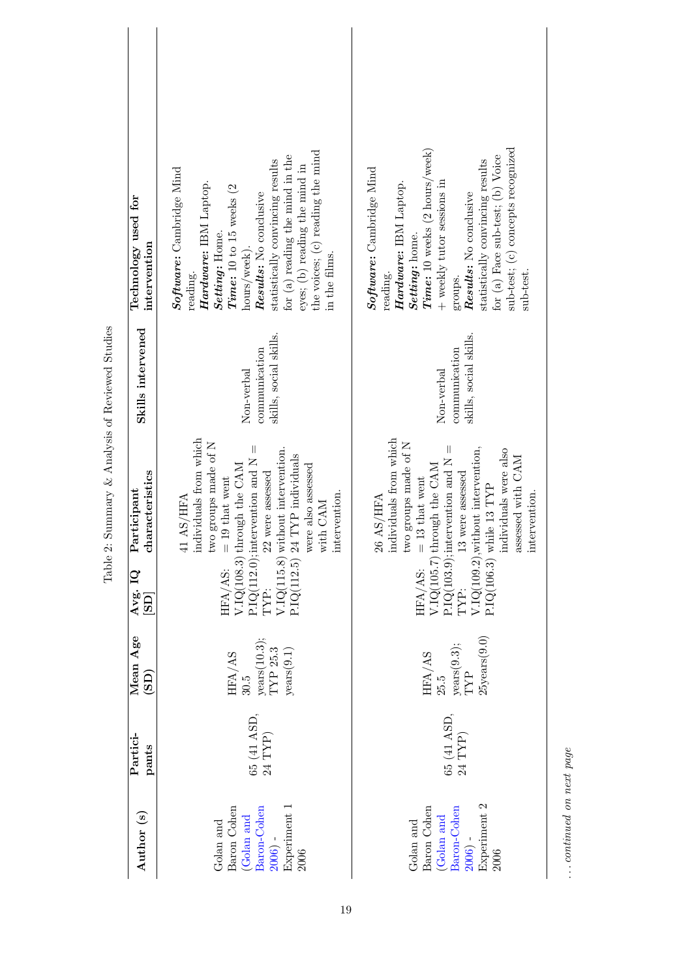|                                                 | Technology used for<br>intervention                       | the voices; (c) reading the mind<br>for $(a)$ reading the mind in the<br>statistically convincing results<br>eyes; (b) reading the mind in<br>$\it So{\it fluxare} \colon \rm Cambridge\ Mind$<br>Hardware: IBM Laptop.<br>Time: $10$ to $15$ weeks $(2)$<br>Results: No conclusive<br>Setting: Home.<br>hours/week).<br>in the films.<br>reading.                            | sub-test; (c) concepts recognized<br>Time: 10 weeks (2 hours/week)<br>for (a) Face sub-test; (b) Voice<br>statistically convincing results<br>$\it Software:$ Cambridge Mind<br>+ weekly tutor sessions in<br>Hardware: IBM Laptop.<br>Results: No conclusive<br>Setting: home.<br>sub-test.<br>reading.<br>groups.                                                    |
|-------------------------------------------------|-----------------------------------------------------------|-------------------------------------------------------------------------------------------------------------------------------------------------------------------------------------------------------------------------------------------------------------------------------------------------------------------------------------------------------------------------------|------------------------------------------------------------------------------------------------------------------------------------------------------------------------------------------------------------------------------------------------------------------------------------------------------------------------------------------------------------------------|
|                                                 | Skills intervened                                         | skills, social skills.<br>communication<br>Non-verbal                                                                                                                                                                                                                                                                                                                         | skills, social skills.<br>communication<br>Non-verbal                                                                                                                                                                                                                                                                                                                  |
| Table 2: Summary & Analysis of Reviewed Studies | characteristics<br>Participant<br>Avg. IQ<br>$ {\rm SD} $ | ndividuals from which<br>wo groups made of N<br>$\vert\vert$<br>$\text{V.IQ}(115.8)$ without intervention. P.IQ(112.5) 24 TYP individuals<br>$\ensuremath{\mathrm{V}.\mathrm{IQ}}\xspace(108.3)$ through the CAM P.IQ(112.0);<br>intervention and N<br>were also assessed<br>22 were assessed<br>$=$ 19 that went<br>ntervention.<br>41 AS/HFA<br>with CAM<br>HFA/AS:<br>TYP: | ndividuals from which<br>wo groups made of N<br>$\lvert \rvert$<br>$\rm V.IQ(109.2), without\ intervention, P.IQ(106.3)$ while $13~\mathrm{TYP}$<br>ndividuals were also<br>assessed with CAM<br>ntervention and N<br>hrough the CAM<br>13 were assessed<br>$=$ 13 that went<br>ntervention.<br>26 AS/HFA<br>$VIQ(105.7)$ tl<br>P.IQ(103.9); ir<br>TYP:<br><br>HFA/AS: |
|                                                 | Mean Age<br>$\widetilde{\mathrm{(SD)}}$                   | years<br>(10.3); $\mbox{TP}$ 25.3<br>years(9.1)<br>HFA/AS<br>$30.5$                                                                                                                                                                                                                                                                                                           | $25$ years $(9.0)$<br>years(9.3);<br>HFA/AS<br>TYP<br>25.5                                                                                                                                                                                                                                                                                                             |
|                                                 | Partici-<br>pants                                         | $65$ (41 ASD, $24$ TYP)                                                                                                                                                                                                                                                                                                                                                       | $65$ (41 ASD, $24$ TYP)                                                                                                                                                                                                                                                                                                                                                |
|                                                 | Author (s)                                                | Experiment 1<br>Baron Cohen<br>Baron-Cohen<br>(Golan and<br>Golan and<br>$2006$ ) -<br>2006                                                                                                                                                                                                                                                                                   | Experiment 2<br>Baron Cohen<br>Baron-Cohen<br>(Golan and<br>Golan and<br>$2006$ ) -<br>2006                                                                                                                                                                                                                                                                            |

19

 $\dots$  continued on next page

 $\ldots$  continued on next page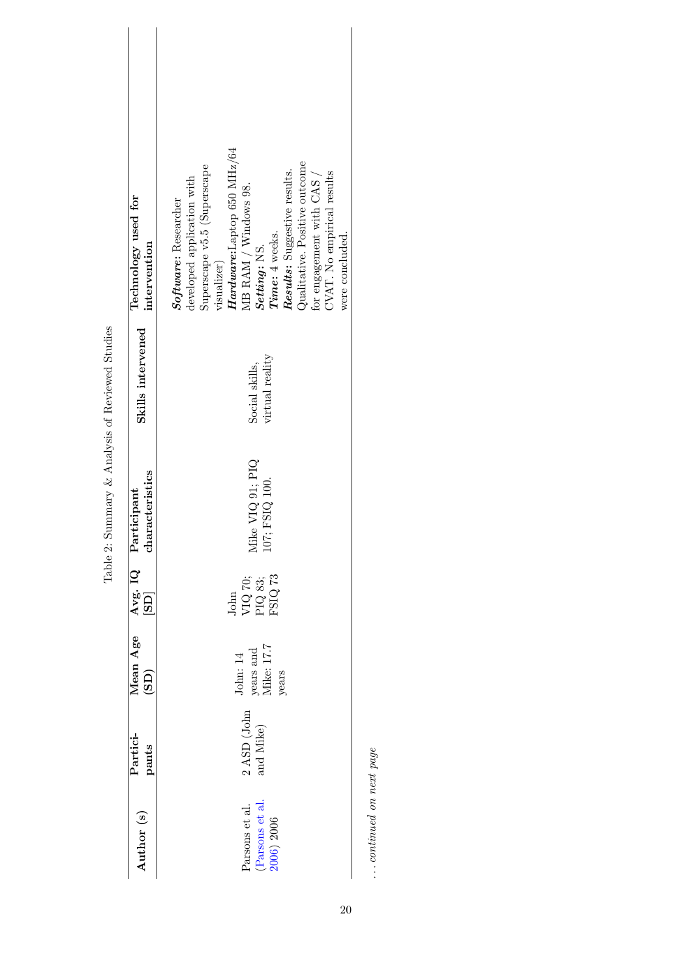| Technology used for<br>intervention                                     | $\bm{H}$ ardware:Laptop 650 MHz/64<br>Qualitative. Positive outcome<br>Superscape v5.5 (Superscape<br>Results: Suggestive results.<br>CVAT. No empirical results<br>for engagement with $CAS /$<br>developed application with<br>MB RAM / Windows 98.<br>Software: Researcher<br>Time: 4 weeks.<br>were concluded.<br>Setting: NS.<br>visualizer) |
|-------------------------------------------------------------------------|---------------------------------------------------------------------------------------------------------------------------------------------------------------------------------------------------------------------------------------------------------------------------------------------------------------------------------------------------|
| Skills intervened                                                       | virtual reality<br>Social skills,                                                                                                                                                                                                                                                                                                                 |
| aracteristics<br>Mean Age Avg. IQ Participant<br>(SD) [SD] characterist | Mike VIQ 91; PIQ<br>107; FSIQ 100.                                                                                                                                                                                                                                                                                                                |
|                                                                         | $\begin{array}{c} \text{John} \\ \text{VIQ 70;} \\ \text{PIQ 83;} \\ \text{FSIQ 73} \end{array}$                                                                                                                                                                                                                                                  |
|                                                                         | John: 14<br>years and<br>Mike: 17.7<br>years                                                                                                                                                                                                                                                                                                      |
| Partici-<br>pants                                                       | 2 ASD (John<br>and Mike)                                                                                                                                                                                                                                                                                                                          |
| Author (s)                                                              | Parsons et al.<br>Parsons et al.<br>2006) 2006                                                                                                                                                                                                                                                                                                    |

> $\ldots$  continued on next page  $\ldots$  continued on next page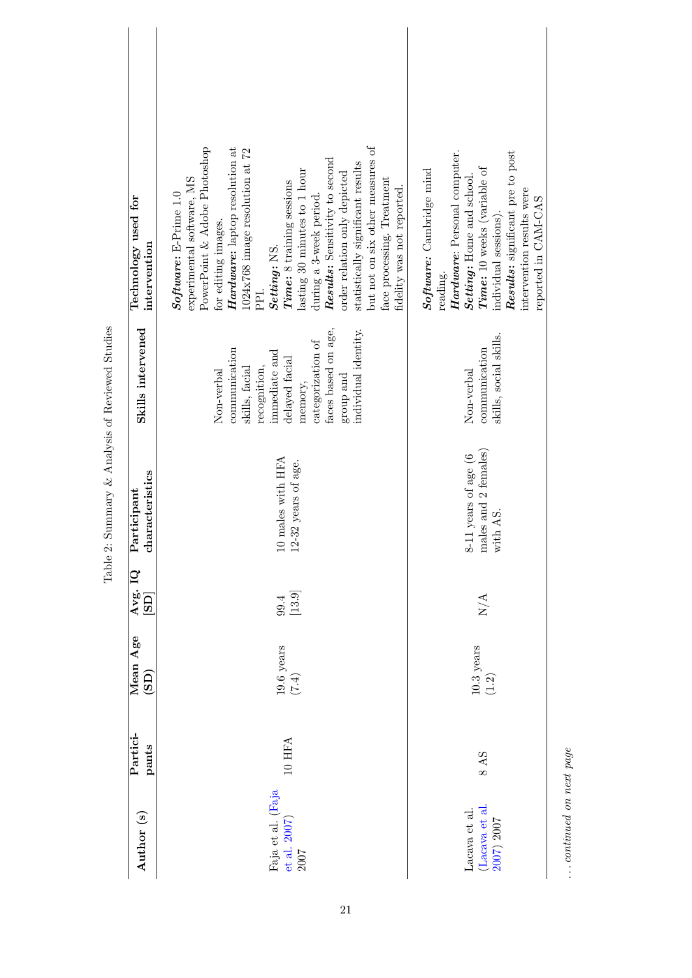| Technology used for<br>intervention | but not on six other measures of<br>PowerPoint & Adobe Photoshop<br><b>Hardware:</b> laptop resolution at<br>1024x768 image resolution at 72<br>Results: Sensitivity to second<br>statistically significant results<br>lasting 30 minutes to 1 hour<br>order relation only depicted<br>face processing. Treatment<br>experimental software, MS<br>Time: 8 training sessions<br>fidelity was not reported.<br>Software: E-Prime 1.0<br>during a 3-week period.<br>for editing images.<br>$Setting \colon \text{NS}.$<br>PPI. | Hardware: Personal computer.<br><b>Results:</b> significant pre to post<br>Time: 10 weeks (variable of<br>$\mathit{Software:}$ Cambridge mind<br>Setting: Home and school.<br>intervention results were<br>reported in CAM-CAS<br>individual sessions).<br>reading. |
|-------------------------------------|-----------------------------------------------------------------------------------------------------------------------------------------------------------------------------------------------------------------------------------------------------------------------------------------------------------------------------------------------------------------------------------------------------------------------------------------------------------------------------------------------------------------------------|---------------------------------------------------------------------------------------------------------------------------------------------------------------------------------------------------------------------------------------------------------------------|
| Skills intervened                   | faces based on age,<br>individual identity.<br>categorization of<br>communication<br>immediate and<br>delayed facial<br>recognition,<br>skills, facial<br>Non-verbal<br>group and<br>memory,                                                                                                                                                                                                                                                                                                                                | skills, social skills.<br>communication<br>Non-verbal                                                                                                                                                                                                               |
| Participant<br>characteristics      | males with HFA<br>$10~\mathrm{males}$ with $\mathrm{HFA}$ $12\text{-}32$ years of age.                                                                                                                                                                                                                                                                                                                                                                                                                                      | males and 2 females)<br>8-11 years of age (6<br>with AS.                                                                                                                                                                                                            |
| Avg. IQ<br> SD                      | $[13.9]$<br>99.4                                                                                                                                                                                                                                                                                                                                                                                                                                                                                                            | N/A                                                                                                                                                                                                                                                                 |
| Mean Age<br>(SD)                    | 19.6 years $(7.4)$                                                                                                                                                                                                                                                                                                                                                                                                                                                                                                          | $\frac{10.3 \text{ years}}{(1.2)}$                                                                                                                                                                                                                                  |
| Partici-<br>pants                   | 10 HFA                                                                                                                                                                                                                                                                                                                                                                                                                                                                                                                      | 8 AS                                                                                                                                                                                                                                                                |
| Author (s)                          | Faja et al. (Faja et al. 1<br>2007                                                                                                                                                                                                                                                                                                                                                                                                                                                                                          | (Lacava et al.<br>Lacava et al.<br>2007) 2007                                                                                                                                                                                                                       |

> $\dots$  continued on next page  $\dots$  continued on next page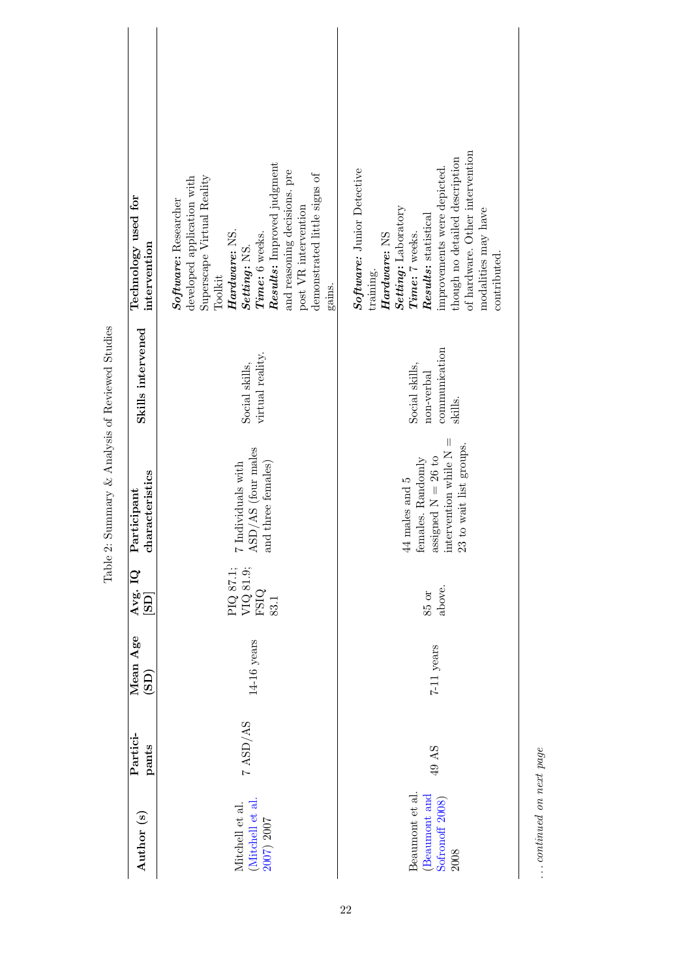|             | Technology used for<br>intervention | Results: Improved judgment<br>and reasoning decisions. pre<br>demonstrated little signs of<br>Superscape Virtual Reality<br>developed application with<br>Software: Researcher<br>post VR intervention<br>Hardware: NS.<br>Time: 6 weeks.<br>Setting: NS.<br>Toolkit<br>gains. | of hardware. Other intervention<br>though no detailed description<br>improvements were depicted.<br>Software: Junior Detective<br>Setting: Laboratory<br>modalities may have<br>Results: statistical<br>Time: 7 weeks.<br>Hardware: NS<br>contributed.<br>training. |
|-------------|-------------------------------------|--------------------------------------------------------------------------------------------------------------------------------------------------------------------------------------------------------------------------------------------------------------------------------|---------------------------------------------------------------------------------------------------------------------------------------------------------------------------------------------------------------------------------------------------------------------|
|             | Skills intervened                   | virtual reality.<br>Social skills,                                                                                                                                                                                                                                             | communication<br>Social skills,<br>non-verbal<br>skills.                                                                                                                                                                                                            |
| ζ<br>.<br>。 | Participant<br>characteristics      | $\mathrm{ASD}/\mathrm{AS}$ (four males<br>and three females)<br>Individuals with                                                                                                                                                                                               | intervention while ${\cal N}$ =<br>to wait list groups.<br>assigned $N = 26$ to<br>females. Randomly<br>$44$ males and $5$<br>23                                                                                                                                    |
|             | Avg. IQ<br>$ {\rm SD} $             | $\begin{array}{c} \rm{PIQ\,\,87.1;} \\ \rm{VIQ\,\,81.9;} \\ \rm{FSIG} \end{array}$<br>83.1                                                                                                                                                                                     | above.<br>$85~\mathrm{or}$                                                                                                                                                                                                                                          |
|             | Mean Age<br>(SD)                    | $14\text{-}16~{\rm years}$                                                                                                                                                                                                                                                     | $7-11$ years                                                                                                                                                                                                                                                        |
|             | Partici-<br>pants                   | 7 ASD/AS                                                                                                                                                                                                                                                                       | 49 AS                                                                                                                                                                                                                                                               |
|             | Author (s)                          | (Mitchell et al.<br>Mitchell et al.<br>2007) 2007                                                                                                                                                                                                                              | Beaumont et al.<br>Beaumont and<br>Sofronoff 2008)<br>2008                                                                                                                                                                                                          |

> $\dots$  continued on next page  $\ldots$  continued on next page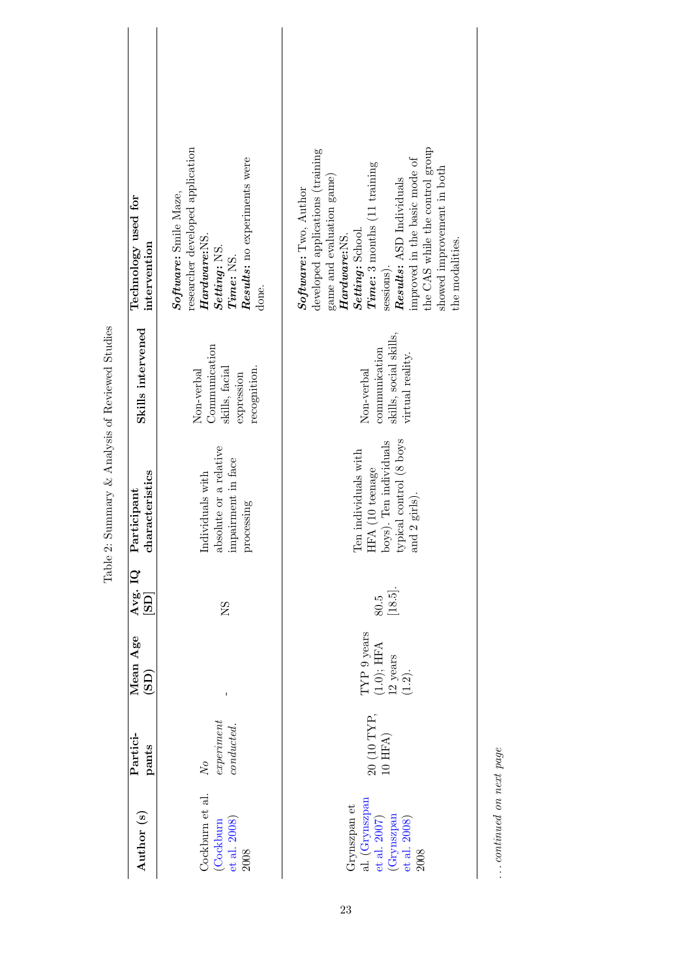|                                                              | Technology used for<br>intervention                | researcher developed application<br>Results: no experiments were<br>$\it Software:$ Smile Maze,<br>$\bm{H}$ ardware:NS.<br>Setting: NS.<br>Time: NS.<br>done. | the CAS while the control group<br>developed applications (training<br>improved in the basic mode of<br>Time: 3 months (11 training)<br>showed improvement in both<br>game and evaluation game)<br>Results: ASD Individuals<br>Software: Two, Author<br>Setting: School.<br>Hardware:NS.<br>the modalities.<br>sessions). |
|--------------------------------------------------------------|----------------------------------------------------|---------------------------------------------------------------------------------------------------------------------------------------------------------------|---------------------------------------------------------------------------------------------------------------------------------------------------------------------------------------------------------------------------------------------------------------------------------------------------------------------------|
|                                                              | Skills intervened                                  | Communication<br>skills, facial<br>recognition.<br>Non-verbal<br>expression                                                                                   | skills, social skills,<br>communication<br>virtual reality.<br>Non-verbal                                                                                                                                                                                                                                                 |
| putting y or transported by the view of the specifical space | $\overline{\text{Participant}}$<br>characteristics | absolute or a relative<br>impairment in face<br>Individuals with<br>processing                                                                                | Ten individuals with HFA (10 teenage boys). Ten individuals typical control (8 boys<br>and 2 girls).                                                                                                                                                                                                                      |
| laUle 4.                                                     | Avg. IQ<br> SD                                     | SN                                                                                                                                                            | $[18.5]$ .<br>80.5                                                                                                                                                                                                                                                                                                        |
|                                                              | Mean Age<br>$\overline{\textbf{(SD)}}$             |                                                                                                                                                               | TYP 9 years (1.0); HFA<br>12 years<br>(1.2).                                                                                                                                                                                                                                                                              |
|                                                              | Partici-<br>pants                                  | $\label{eq:reform} experiment$<br>conducted.<br>$N_o$                                                                                                         | $20$ (10 TYP,<br>10 HFA)                                                                                                                                                                                                                                                                                                  |
|                                                              | Author (s)                                         | Cockburn et al.<br>et al. 2008)<br>(Cockburn<br>2008                                                                                                          | al. (Grynszpan<br>et al. 2007)<br>Grynszpan et<br>$\begin{array}{c} \text{(Grynspan} \\ \text{et al. } 2008) \end{array}$<br>2008                                                                                                                                                                                         |
|                                                              |                                                    |                                                                                                                                                               |                                                                                                                                                                                                                                                                                                                           |

> $\ldots$  continued on next page  $\dots$  continued on next page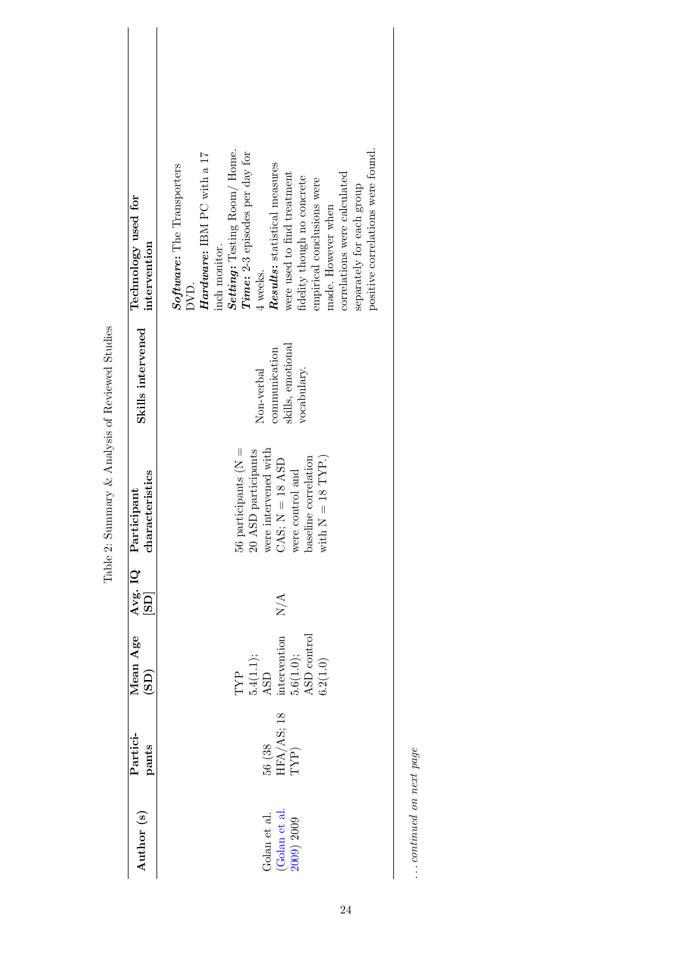| Technology used for<br>intervention  | Setting: Testing Room/ Home.<br>positive correlations were found.<br>Hardware: IBM PC with a 17<br>Time: 2-3 episodes per day for<br>Results: statistical measures<br>Software: The Transporters<br>were used to find treatment<br>correlations were calculated<br>fidelity though no concrete<br>empirical conclusions were<br>separately for each group<br>made. However when<br>inch monitor.<br>4 weeks.<br>JVD. |
|--------------------------------------|----------------------------------------------------------------------------------------------------------------------------------------------------------------------------------------------------------------------------------------------------------------------------------------------------------------------------------------------------------------------------------------------------------------------|
| Skills intervened                    | skills, emotional<br>communication<br>vocabulary.<br>Non-verbal                                                                                                                                                                                                                                                                                                                                                      |
| characteristics                      | $participants (N =$<br>were intervened with<br>CAS; $\rm N=18$ ASD<br>ASD participants<br>with $N = 18$ TYP.)<br>were control and<br>baseline correlation $% \left\vert \cdot \right\rangle$<br>$\frac{6}{20}$                                                                                                                                                                                                       |
| SD                                   | N/A                                                                                                                                                                                                                                                                                                                                                                                                                  |
| Mean Age Avg. IQ Participant<br>(SD) | intervention<br>5.6(1.0);<br>ASD control<br>6.2(1.0)<br>$TYP$<br>5.4(1.1);<br>ASD                                                                                                                                                                                                                                                                                                                                    |
| Partici-<br>pants                    | $\frac{\text{HFA}}{\text{TYP}}$ 18<br>56(38)                                                                                                                                                                                                                                                                                                                                                                         |
| Author (s)                           | (Golan et al.<br>Golan et al.<br>2009) 2009                                                                                                                                                                                                                                                                                                                                                                          |

> ... continued on next page  $\ldots$  continued on next page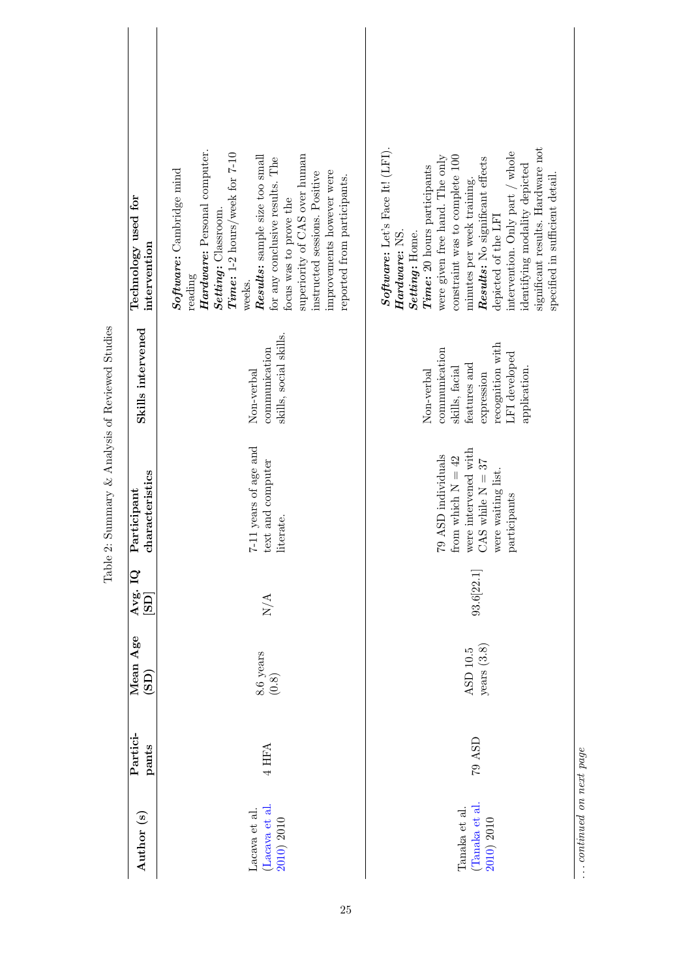| Author (s)                                    | Partici-       | Mean Age                     | $Avg.$ IQ  | Participant                                                                                                                                                     | Skills intervened                                                                                                                | Technology used for                                                                                                                                                                                                                                                                                                                                                                                      |
|-----------------------------------------------|----------------|------------------------------|------------|-----------------------------------------------------------------------------------------------------------------------------------------------------------------|----------------------------------------------------------------------------------------------------------------------------------|----------------------------------------------------------------------------------------------------------------------------------------------------------------------------------------------------------------------------------------------------------------------------------------------------------------------------------------------------------------------------------------------------------|
| (Lacava et al.<br>Lacava et al.<br>2010) 2010 | pants<br>4 HFA | 8.6 years<br>(SD)<br>$(0.8)$ | SD <br>N/A | $7\text{-}11$ years of age and text and computer literate.<br>characteristics                                                                                   | skills, social skills.<br>communication<br>Non-verbal                                                                            | Hardware: Personal computer.<br>Time: $1-2$ hours/week for $7-10$<br>superiority of CAS over human<br>Results: sample size too small<br>for any conclusive results. The<br>Software: Cambridge mind<br>improvements however were<br>instructed sessions. Positive<br>reported from participants.<br>focus was to prove the<br>Setting: Classroom.<br>intervention<br>reading<br>weeks.                   |
| (Tanaka et al.<br>Tanaka et al.<br>2010) 2010 | 79 ASD         | years $(3.8)$<br>ASD 10.5    | 93.6 22.1  | were intervened with $\mathrm{CAS}$ while $\mathrm{N}=37$<br>ASD individuals<br>79 ASD individuals<br>from which $N = 42$<br>were waiting list.<br>participants | recognition with<br>communication<br>LFI developed<br>features and<br>skills, facial<br>application.<br>Non-verbal<br>expression | significant results. Hardware not<br>Software: Let's Face It! (LFI).<br>intervention. Only part / whole<br>were given free hand. The only<br>constraint was to complete 100<br>Results: No significant effects<br>identifying modality depicted<br>Time: 20 hours participants<br>specified in sufficient detail<br>minutes per week training.<br>depicted of the LFI<br>Hardware: NS.<br>Setting: Home. |
| continued on next page                        |                |                              |            |                                                                                                                                                                 |                                                                                                                                  |                                                                                                                                                                                                                                                                                                                                                                                                          |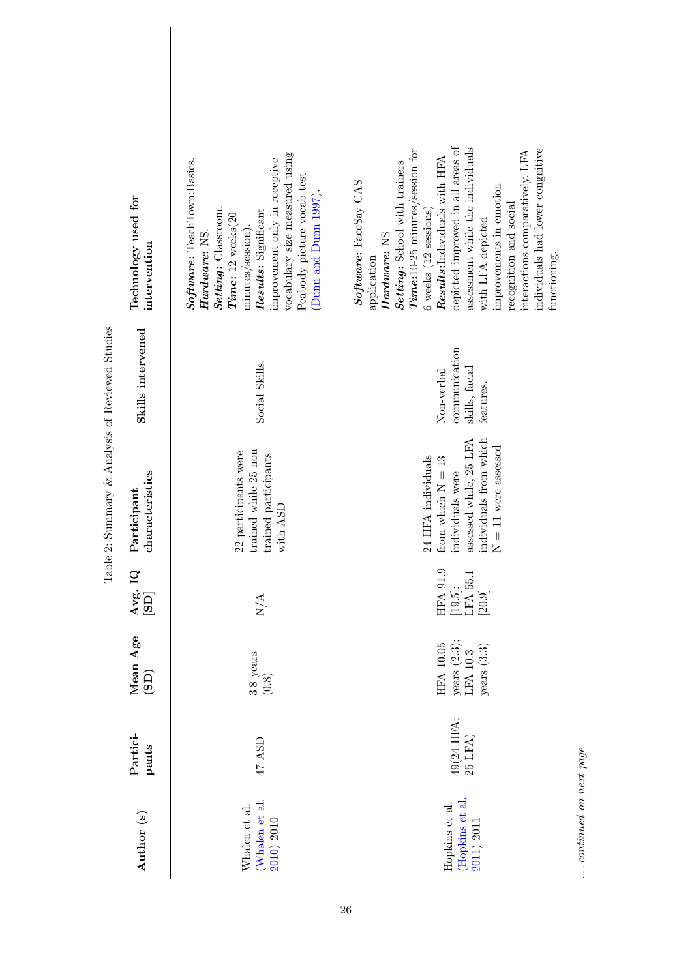|                                                 | Technology used for<br>intervention | vocabulary size measured using<br>improvement only in receptive<br>$\it Software\colon$ Teach Town: Basics.<br>Peabody picture vocab test<br>(Dunn and Dunn 1997).<br>Setting: Classroom.<br>Results: Significant<br>Time: 12 weeks(20<br>minutes/session).<br>Hardware: NS. | depicted improved in all areas of<br>assessment while the individuals<br>$Time:10-25$ minutes/session for<br>individuals had lower congnitive<br>interactions comparatively. LFA<br>Results:Individuals with HFA<br>Setting: School with trainers<br>Software: FaceSay CAS<br>improvements in emotion<br>recognition and social<br>6 weeks (12 sessions)<br>with LFA depicted<br>Hardware: NS<br>functioning.<br>application |                        |
|-------------------------------------------------|-------------------------------------|------------------------------------------------------------------------------------------------------------------------------------------------------------------------------------------------------------------------------------------------------------------------------|------------------------------------------------------------------------------------------------------------------------------------------------------------------------------------------------------------------------------------------------------------------------------------------------------------------------------------------------------------------------------------------------------------------------------|------------------------|
|                                                 | Skills intervened                   | Social Skills.                                                                                                                                                                                                                                                               | communication<br>skills, facial<br>Non-verbal<br>features.                                                                                                                                                                                                                                                                                                                                                                   |                        |
| Table 2: Summary & Analysis of Reviewed Studies | characteristics<br>Participant      | $\!$ trained while $25$ non trained participants<br>22 participants were<br>with ASD                                                                                                                                                                                         | individuals from which<br>${\cal N}=11$ were assessed<br>assessed while, 25 LFA<br>$\begin{array}{l} 24 \ \mathrm{HFA} \ \mathrm{individuals} \\ \mathrm{from} \ \mathrm{which} \ \mathrm{N}=13 \\ \mathrm{individuals} \ \mathrm{were} \end{array}$                                                                                                                                                                         |                        |
|                                                 | Avg. IQ<br>$ {\bf G}{\bf S} $       | N/A                                                                                                                                                                                                                                                                          | HFA 91.9<br>$\frac{[19.5]}{LFA}$ 55.1<br>$[20.9]$                                                                                                                                                                                                                                                                                                                                                                            |                        |
|                                                 | Mean Age<br>(SD)                    | 3.8 years<br>$(0.8)$                                                                                                                                                                                                                                                         | years $(2.3)$ ;<br>LFA 10.3<br><b>HFA 10.05</b><br>years $(3.3)$                                                                                                                                                                                                                                                                                                                                                             |                        |
|                                                 | Partici-<br>pants                   | 47 ASD                                                                                                                                                                                                                                                                       | 49(24 HFA;<br>25 LFA)                                                                                                                                                                                                                                                                                                                                                                                                        |                        |
|                                                 | Author (s)                          | (Whalen et al.<br>Whalen et al<br>2010) 2010                                                                                                                                                                                                                                 | (Hopkins et al.<br>Hopkins et al.<br>2011) 2011                                                                                                                                                                                                                                                                                                                                                                              | continued on next page |

26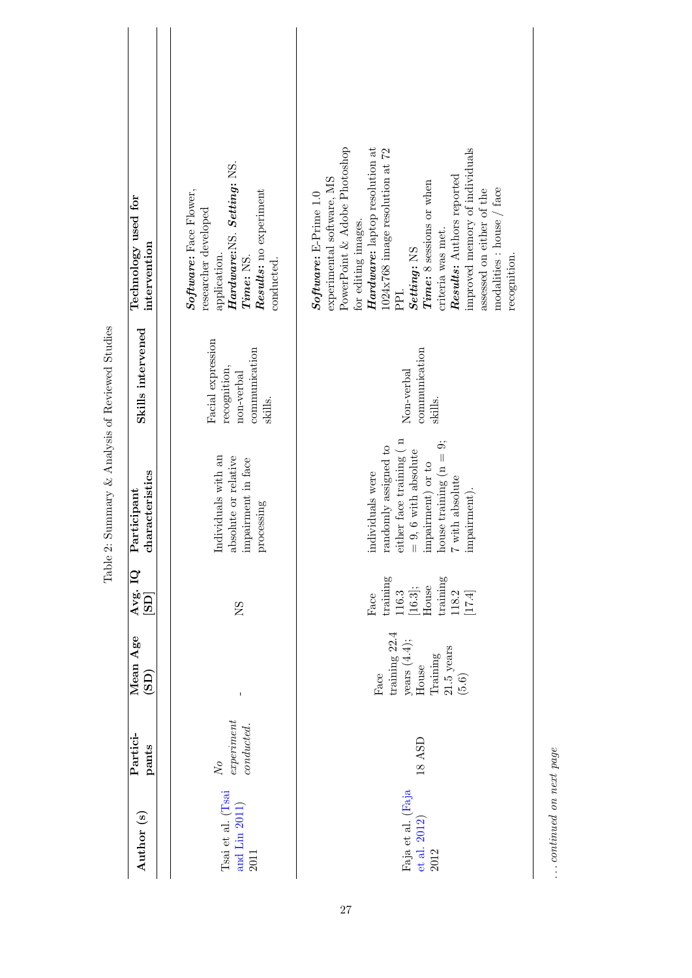|                                        | Technology used for<br>intervention | Hardware:NS. Setting: NS.<br>Software: Face Flower,<br>Results: no experiment<br>researcher developed<br>application.<br>Time: NS.<br>conducted. | PowerPoint & Adobe Photoshop<br><b>Hardware:</b> laptop resolution at<br>improved memory of individuals<br>$1024x768$ image resolution at $72$<br><b>Results:</b> Authors reported<br>experimental software, MS<br>Time: 8 sessions or when<br>modalities : house $/$ face<br>assessed on either of the<br>Software: E-Prime 1.0<br>for editing images.<br>criteria was met.<br>$\small \textit{Setting} \small : \textsf{NS}$<br>recognition.<br>PPI. |
|----------------------------------------|-------------------------------------|--------------------------------------------------------------------------------------------------------------------------------------------------|--------------------------------------------------------------------------------------------------------------------------------------------------------------------------------------------------------------------------------------------------------------------------------------------------------------------------------------------------------------------------------------------------------------------------------------------------------|
|                                        | Skills intervened                   | Facial expression<br>communication<br>recognition,<br>non-verbal<br>skills.                                                                      | communication<br>Non-verbal<br>skills.                                                                                                                                                                                                                                                                                                                                                                                                                 |
| Summary & Analysis of Reviewed Studies | characteristics<br>Participant      | $\begin{array}{c} \text{Individuals with an} \\ \text{absolute or relative} \\ \text{imparent in face} \end{array}$<br>processing                | randomly assigned to<br>either face training ( ${\bf n}$<br>house training ( $n = 9$ ;<br>7 with absolute<br>impairment).<br>$9, 6$ with absolute<br>impairment) or to<br>individuals were<br>$\vert\vert$                                                                                                                                                                                                                                             |
| Table 2:                               | Avg. IQ<br> SD                      | $_{\rm NS}$                                                                                                                                      | training<br>training<br>$[16.3];$ House<br>116.3<br>118.2<br>[17.4]<br>Face                                                                                                                                                                                                                                                                                                                                                                            |
|                                        | Mean Age<br>(SD)                    |                                                                                                                                                  | training $22.4$<br>years $(4.4)$ ;<br>House<br>$21.5$ years<br>Training<br>Face<br>(5.6)                                                                                                                                                                                                                                                                                                                                                               |
|                                        | Partici-<br>pants                   | $experiment$<br>conducted.<br>$N{\mskip -1.5mu\sigma}$                                                                                           | 18 ASD                                                                                                                                                                                                                                                                                                                                                                                                                                                 |
|                                        | Author (s)                          | Tsai et al. (Tsai<br>and Lin $2011)$<br>2011                                                                                                     | Faja et al. (Faja<br>et al. $2012$<br>2012                                                                                                                                                                                                                                                                                                                                                                                                             |

27

 $\ldots$  continued on next page  $\ldots$  continued on next page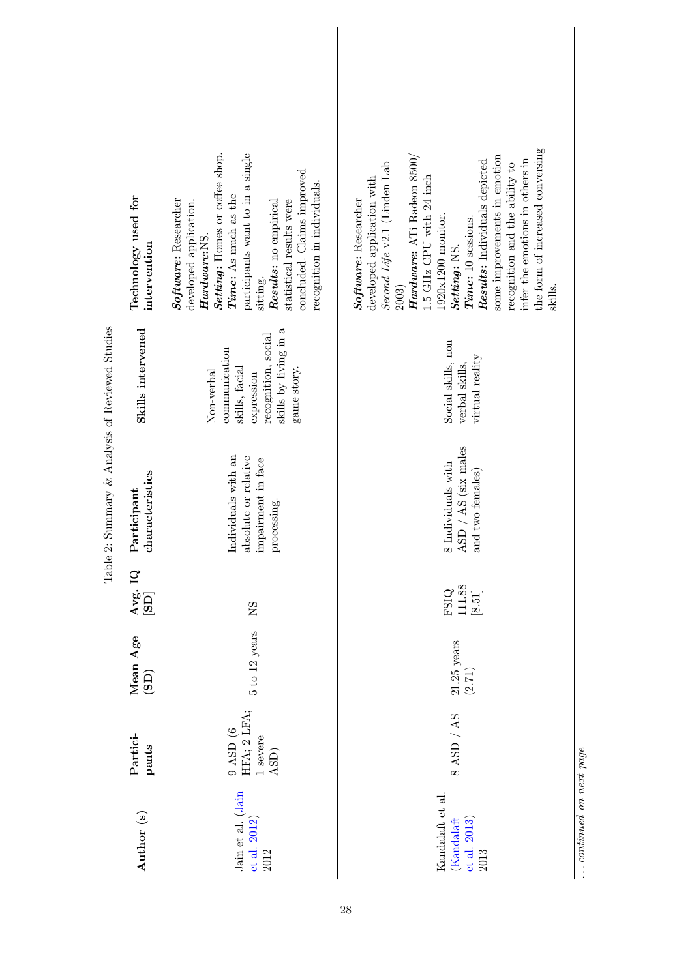|                                      | Technology used for<br>intervention     | Setting: Homes or coffee shop.<br>participants want to in a single<br>concluded. Claims improved<br>recognition in individuals.<br>Time: As much as the<br>Software: Researcher<br>statistical results were<br>developed application.<br>Results: no empirical<br>$\bm{Hardware}$ :NS.<br>sitting. | the form of increased conversing<br>Hardware: ATi Radeon 8500/<br>some improvements in emotion<br>infer the emotions in others in<br>Results: Individuals depicted<br>developed application with<br>Second Life v2.1 (Linden Lab<br>recognition and the ability to<br>1.5 GHz CPU with 24 inch<br>Software: Researcher<br>1920x1200 monitor.<br>Time: 10 sessions.<br>Setting: NS.<br>2003<br>skills. |
|--------------------------------------|-----------------------------------------|----------------------------------------------------------------------------------------------------------------------------------------------------------------------------------------------------------------------------------------------------------------------------------------------------|-------------------------------------------------------------------------------------------------------------------------------------------------------------------------------------------------------------------------------------------------------------------------------------------------------------------------------------------------------------------------------------------------------|
| politically or the new the political | Skills intervened                       | skills by living in a<br>recognition, social<br>communication<br>skills, facial<br>game story.<br>Non-verbal<br>expression                                                                                                                                                                         | Social skills, non<br>virtual reality<br>verbal skills,                                                                                                                                                                                                                                                                                                                                               |
|                                      | characteristics<br>Participant          | $\begin{array}{c} \text{Individuals with an} \\ \text{absolute or relative} \\ \text{imparent in face} \end{array}$<br>processing.                                                                                                                                                                 | $8$ Individuals with $\mathrm{ASD}$ / AS (six males<br>and two females)                                                                                                                                                                                                                                                                                                                               |
| ta mant                              | Avg. IQ<br>$ {\rm SD} $                 | $^{2}N$                                                                                                                                                                                                                                                                                            | $\begin{array}{c} {\rm FSIQ} \\ 11.88 \\ {\rm [8.51]} \end{array}$                                                                                                                                                                                                                                                                                                                                    |
|                                      | Mean Age<br>$\widetilde{\mathrm{(SD)}}$ | 5 to 12 years                                                                                                                                                                                                                                                                                      | $21.25$ years<br>(2.71)                                                                                                                                                                                                                                                                                                                                                                               |
|                                      | Partici-<br>pants                       | $\begin{array}{c} 9 \text{ ASD} \text{ (}6 \\ \text{HFA}; 2 \text{ LFA}; \end{array}$<br>$\begin{array}{c} \text{1 severe} \\ \text{ASD)} \end{array}$                                                                                                                                             | 8 ASD / AS                                                                                                                                                                                                                                                                                                                                                                                            |
|                                      | Author (s)                              | Jain et al. (Jain<br>$et$ al. $2012$<br>2012                                                                                                                                                                                                                                                       | Kandalaft et al.<br>et al. 2013)<br>2013<br>(Kandalaft                                                                                                                                                                                                                                                                                                                                                |

> $\dots$  continued on next page  $\dots$  continued on next page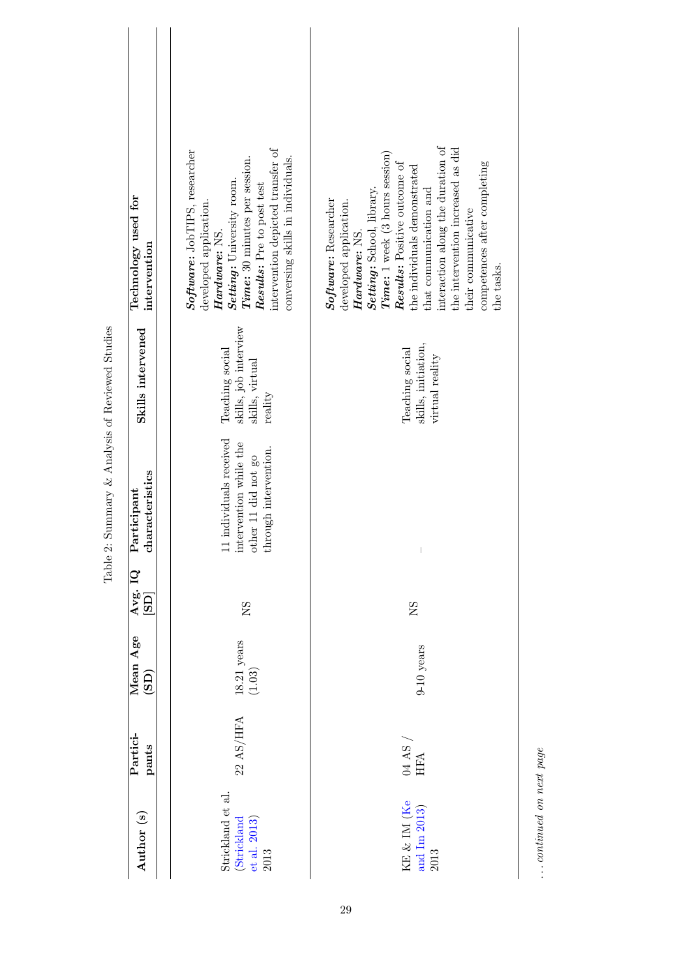| Summary & Analysis of Reviewed Studies | Technology used for<br>intervention    | intervention depicted transfer of<br>Software: JobTIPS, researcher<br>conversing skills in individuals.<br>Time: 30 minutes per session.<br>Setting: University room.<br>Results: Pre to post test<br>developed application.<br>Hardware: NS. | interaction along the duration of<br>the intervention increased as did<br>Time: 1 week (3 hours session)<br>Results: Positive outcome of<br>competences after completing<br>the individuals demonstrated<br>Setting: School, library.<br>that communication and<br>Software: Researcher<br>developed application.<br>their communicative<br>Hardware: NS.<br>the tasks. |
|----------------------------------------|----------------------------------------|-----------------------------------------------------------------------------------------------------------------------------------------------------------------------------------------------------------------------------------------------|-------------------------------------------------------------------------------------------------------------------------------------------------------------------------------------------------------------------------------------------------------------------------------------------------------------------------------------------------------------------------|
|                                        | Skills intervened                      | skills, job interview<br>Teaching social<br>skills, virtual<br>reality                                                                                                                                                                        | skills, initiation,<br>Teaching social<br>virtual reality                                                                                                                                                                                                                                                                                                               |
|                                        | characteristics<br>Participant         | 11 individuals received<br>intervention while the<br>% other 11 did not go through intervention.                                                                                                                                              |                                                                                                                                                                                                                                                                                                                                                                         |
| Table 2:                               | Avg. IQ<br> SD                         | SN                                                                                                                                                                                                                                            | SN                                                                                                                                                                                                                                                                                                                                                                      |
|                                        | Mean Age<br>$\overline{\textbf{(SD)}}$ | 18.21 years $(1.03)$                                                                                                                                                                                                                          | $9-10$ years                                                                                                                                                                                                                                                                                                                                                            |
|                                        | Partici-<br>pants                      | 22 AS/HFA                                                                                                                                                                                                                                     | 04 AS / HFA                                                                                                                                                                                                                                                                                                                                                             |
|                                        | Author (s)                             | Strickland et al.<br>$\begin{array}{c} \text{(Strickland)} \\ \text{et al. } 2013 \end{array}$<br>2013                                                                                                                                        | $\mathop{\mathrm{KE}}$ & IM (Ke<br>and Im 2013)<br>2013                                                                                                                                                                                                                                                                                                                 |

 $\ldots$  continued on next page  $\ldots$  continued on next page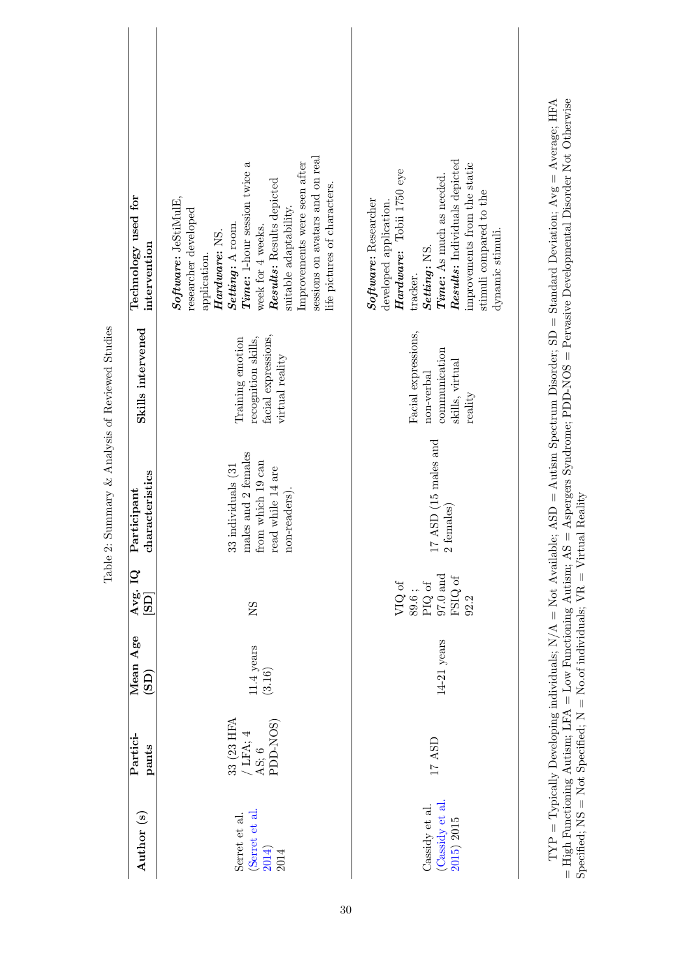| Technology used for<br>intervention    | sessions on avatars and on real<br>Time: 1-hour session twice a<br>Improvements were seen after<br>Results: Results depicted<br>life pictures of characters.<br>$\color{red}Software\color{black}:\color{red}J\color{black}$ e $StiMuIE,$<br>suitable adaptability.<br>researcher developed<br>Setting: A room.<br>week for 4 weeks.<br>Hardware: NS.<br>application. | Results: Individuals depicted<br>improvements from the static<br>Hardware: Tobii 1750 eye<br>Time: As much as needed.<br>stimuli compared to the<br>Software: Researcher<br>developed application.<br>dynamic stimuli.<br>Setting: NS.<br>tracker. | $\overline{1}$<br>$\begin{bmatrix} 1 & 1 & 1 \\ 1 & 1 & 1 \end{bmatrix}$<br>$\tilde{c}$ |
|----------------------------------------|-----------------------------------------------------------------------------------------------------------------------------------------------------------------------------------------------------------------------------------------------------------------------------------------------------------------------------------------------------------------------|----------------------------------------------------------------------------------------------------------------------------------------------------------------------------------------------------------------------------------------------------|-----------------------------------------------------------------------------------------|
| Skills intervened                      | facial expressions,<br>recognition skills,<br>Training emotion<br>virtual reality                                                                                                                                                                                                                                                                                     | Facial expressions,<br>communication<br>skills, virtual<br>$non-verbal$<br>reality                                                                                                                                                                 | ۲)<br>م                                                                                 |
| characteristics<br>Participant         | males and $2$ females from which $19$ $\rm can$<br>33 individuals (31<br>read while 14 are<br>non-readers).                                                                                                                                                                                                                                                           | 7 ASD (15 males and<br>females)<br>$\mathbf{c}$                                                                                                                                                                                                    | $\overline{1}$                                                                          |
| $Avg. IQ$<br>[SD]                      | SN                                                                                                                                                                                                                                                                                                                                                                    | $\begin{array}{c} 89.6\text{ };\ \text{PIQ of}\ 97.0\text{ and}\end{array}$<br>${\rm FSIQ~of}$ ${\rm 92.2}$<br>$\rm VIQ$ of                                                                                                                        | ا<br>ا<br><b>NT</b>                                                                     |
| Mean Age<br>$\overline{\textbf{(SD)}}$ | $11.4$ years<br>(3.16)                                                                                                                                                                                                                                                                                                                                                | $14-21$ years                                                                                                                                                                                                                                      | $1 - NT / A$<br>$\ddot{\phantom{a}}$                                                    |
| Partici-<br>pants                      | 33 (23 HFA<br>PDD-NOS)<br>/ LFA; 4<br>AS; 6                                                                                                                                                                                                                                                                                                                           | 17 ASD                                                                                                                                                                                                                                             | $\mathbf{r}$                                                                            |
| Author (s)                             | (Serret et al.<br>Serret et al.<br>2014)<br>2014                                                                                                                                                                                                                                                                                                                      | (Cassidy et al.<br>Cassidy et al.<br>2015) 2015                                                                                                                                                                                                    | $\frac{1}{2}$<br>E<br>F                                                                 |

 $TYP = Typically$  Developing individuals;  $N/A = Not$  Available; ASD = Autism Spectrum Disorder; SD = Standard Deviation; Avg = Average; HFA<br>= High Functioning Autism; LFA = Low Functioning Autism; AS = Aspergers Syndrome; PDD-NOS = Pe  $\text{TrP} = \text{Typically Deceloping individuals}; N/A = \text{Not Available}; A\text{vallable}; ASD = \text{Autism Spectrum Disorder}; SD = \text{Standard Deviation}; Avg = \text{Average}; HFA}$ = High Functioning Autism; LFA = Low Functioning Autism; AS = Aspergers Syndrome; PDD-NOS = Pervasive Developmental Disorder Not Otherwise

 $S$ pecified; NS = Not Specified; N = No.of individuals;  $VR = V$ irtual Reality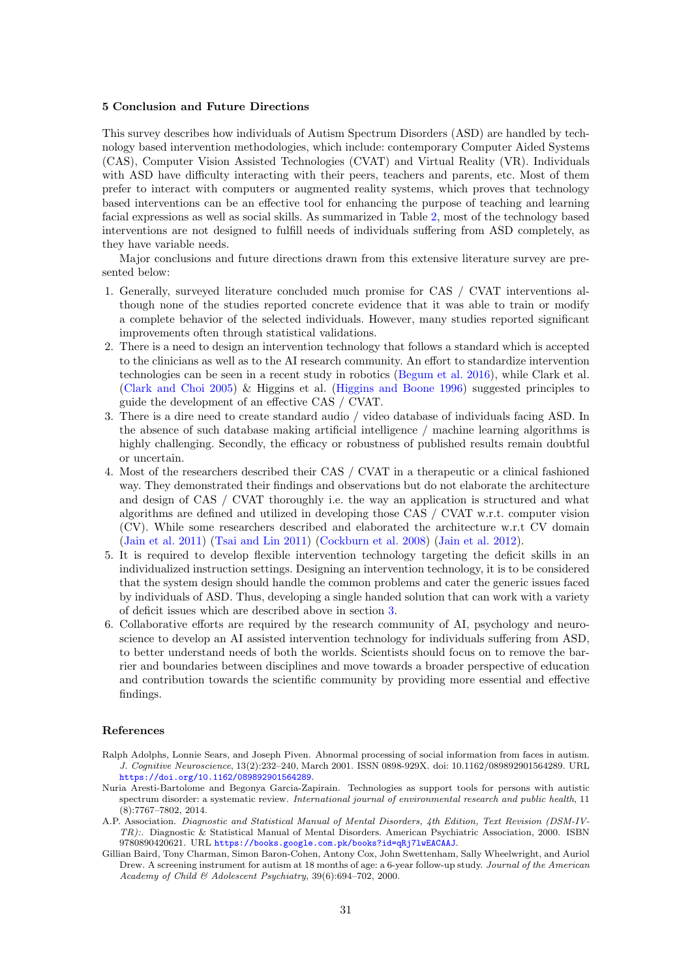## 5 Conclusion and Future Directions

This survey describes how individuals of Autism Spectrum Disorders (ASD) are handled by technology based intervention methodologies, which include: contemporary Computer Aided Systems (CAS), Computer Vision Assisted Technologies (CVAT) and Virtual Reality (VR). Individuals with ASD have difficulty interacting with their peers, teachers and parents, etc. Most of them prefer to interact with computers or augmented reality systems, which proves that technology based interventions can be an effective tool for enhancing the purpose of teaching and learning facial expressions as well as social skills. As summarized in Table [2,](#page-14-0) most of the technology based interventions are not designed to fulfill needs of individuals suffering from ASD completely, as they have variable needs.

Major conclusions and future directions drawn from this extensive literature survey are presented below:

- 1. Generally, surveyed literature concluded much promise for CAS / CVAT interventions although none of the studies reported concrete evidence that it was able to train or modify a complete behavior of the selected individuals. However, many studies reported significant improvements often through statistical validations.
- 2. There is a need to design an intervention technology that follows a standard which is accepted to the clinicians as well as to the AI research community. An effort to standardize intervention technologies can be seen in a recent study in robotics [\(Begum et al.](#page-31-28) [2016\)](#page-31-28), while Clark et al. [\(Clark and Choi](#page-31-29) [2005\)](#page-31-29) & Higgins et al. [\(Higgins and Boone](#page-32-25) [1996\)](#page-32-25) suggested principles to guide the development of an effective CAS / CVAT.
- 3. There is a dire need to create standard audio / video database of individuals facing ASD. In the absence of such database making artificial intelligence / machine learning algorithms is highly challenging. Secondly, the efficacy or robustness of published results remain doubtful or uncertain.
- 4. Most of the researchers described their CAS / CVAT in a therapeutic or a clinical fashioned way. They demonstrated their findings and observations but do not elaborate the architecture and design of CAS / CVAT thoroughly i.e. the way an application is structured and what algorithms are defined and utilized in developing those CAS / CVAT w.r.t. computer vision (CV). While some researchers described and elaborated the architecture w.r.t CV domain [\(Jain et al.](#page-32-21) [2011\)](#page-32-21) [\(Tsai and Lin](#page-34-1) [2011\)](#page-34-1) [\(Cockburn et al.](#page-31-3) [2008\)](#page-31-3) [\(Jain et al.](#page-32-5) [2012\)](#page-32-5).
- 5. It is required to develop flexible intervention technology targeting the deficit skills in an individualized instruction settings. Designing an intervention technology, it is to be considered that the system design should handle the common problems and cater the generic issues faced by individuals of ASD. Thus, developing a single handed solution that can work with a variety of deficit issues which are described above in section [3.](#page-2-1)
- 6. Collaborative efforts are required by the research community of AI, psychology and neuroscience to develop an AI assisted intervention technology for individuals suffering from ASD, to better understand needs of both the worlds. Scientists should focus on to remove the barrier and boundaries between disciplines and move towards a broader perspective of education and contribution towards the scientific community by providing more essential and effective findings.

# References

- <span id="page-30-0"></span>Ralph Adolphs, Lonnie Sears, and Joseph Piven. Abnormal processing of social information from faces in autism. J. Cognitive Neuroscience, 13(2):232–240, March 2001. ISSN 0898-929X. doi: 10.1162/089892901564289. URL <https://doi.org/10.1162/089892901564289>.
- <span id="page-30-2"></span>Nuria Aresti-Bartolome and Begonya Garcia-Zapirain. Technologies as support tools for persons with autistic spectrum disorder: a systematic review. International journal of environmental research and public health, 11 (8):7767–7802, 2014.
- <span id="page-30-1"></span>A.P. Association. Diagnostic and Statistical Manual of Mental Disorders, 4th Edition, Text Revision (DSM-IV-TR):. Diagnostic & Statistical Manual of Mental Disorders. American Psychiatric Association, 2000. ISBN 9780890420621. URL <https://books.google.com.pk/books?id=qRj7lwEACAAJ>.
- <span id="page-30-3"></span>Gillian Baird, Tony Charman, Simon Baron-Cohen, Antony Cox, John Swettenham, Sally Wheelwright, and Auriol Drew. A screening instrument for autism at 18 months of age: a 6-year follow-up study. Journal of the American Academy of Child & Adolescent Psychiatry, 39(6):694-702, 2000.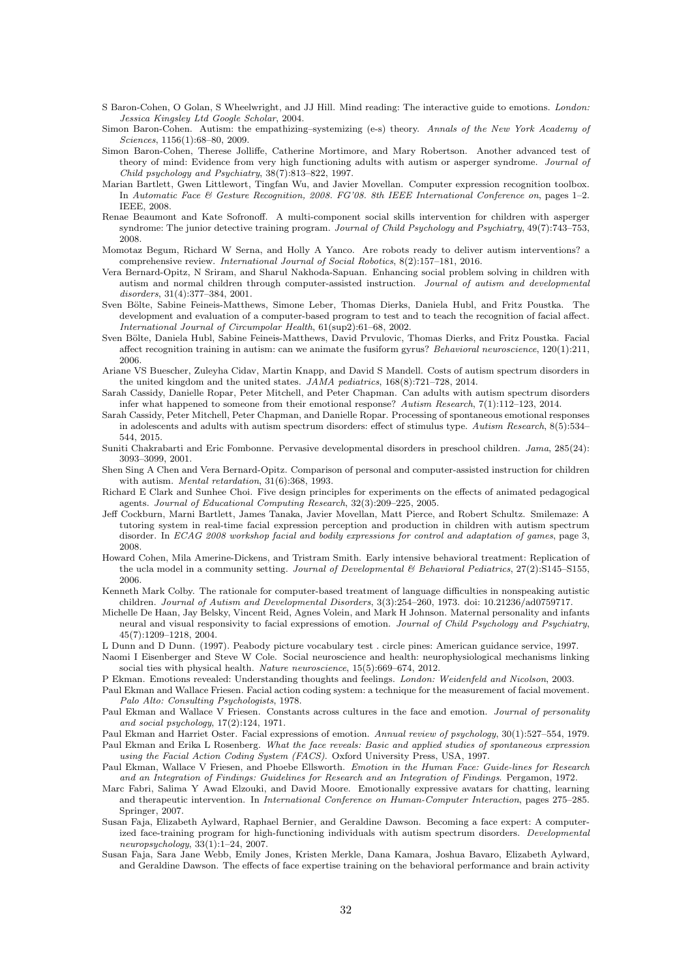- <span id="page-31-4"></span>S Baron-Cohen, O Golan, S Wheelwright, and JJ Hill. Mind reading: The interactive guide to emotions. London: Jessica Kingsley Ltd Google Scholar, 2004.
- <span id="page-31-17"></span>Simon Baron-Cohen. Autism: the empathizing–systemizing (e-s) theory. Annals of the New York Academy of Sciences, 1156(1):68–80, 2009.
- <span id="page-31-24"></span>Simon Baron-Cohen, Therese Jolliffe, Catherine Mortimore, and Mary Robertson. Another advanced test of theory of mind: Evidence from very high functioning adults with autism or asperger syndrome. Journal of Child psychology and Psychiatry, 38(7):813–822, 1997.
- <span id="page-31-16"></span>Marian Bartlett, Gwen Littlewort, Tingfan Wu, and Javier Movellan. Computer expression recognition toolbox. In Automatic Face & Gesture Recognition, 2008. FG'08. 8th IEEE International Conference on, pages 1–2. IEEE, 2008.
- <span id="page-31-5"></span>Renae Beaumont and Kate Sofronoff. A multi-component social skills intervention for children with asperger syndrome: The junior detective training program. Journal of Child Psychology and Psychiatry, 49(7):743–753, 2008.
- <span id="page-31-28"></span>Momotaz Begum, Richard W Serna, and Holly A Yanco. Are robots ready to deliver autism interventions? a comprehensive review. International Journal of Social Robotics, 8(2):157–181, 2016.
- <span id="page-31-2"></span>Vera Bernard-Opitz, N Sriram, and Sharul Nakhoda-Sapuan. Enhancing social problem solving in children with autism and normal children through computer-assisted instruction. Journal of autism and developmental disorders, 31(4):377–384, 2001.
- <span id="page-31-11"></span>Sven Bölte, Sabine Feineis-Matthews, Simone Leber, Thomas Dierks, Daniela Hubl, and Fritz Poustka. The development and evaluation of a computer-based program to test and to teach the recognition of facial affect. International Journal of Circumpolar Health, 61(sup2):61–68, 2002.
- <span id="page-31-14"></span>Sven Bölte, Daniela Hubl, Sabine Feineis-Matthews, David Prvulovic, Thomas Dierks, and Fritz Poustka. Facial affect recognition training in autism: can we animate the fusiform gyrus? Behavioral neuroscience, 120(1):211, 2006.
- <span id="page-31-7"></span>Ariane VS Buescher, Zuleyha Cidav, Martin Knapp, and David S Mandell. Costs of autism spectrum disorders in the united kingdom and the united states. JAMA pediatrics, 168(8):721–728, 2014.
- <span id="page-31-26"></span>Sarah Cassidy, Danielle Ropar, Peter Mitchell, and Peter Chapman. Can adults with autism spectrum disorders infer what happened to someone from their emotional response? Autism Research, 7(1):112–123, 2014.
- <span id="page-31-25"></span>Sarah Cassidy, Peter Mitchell, Peter Chapman, and Danielle Ropar. Processing of spontaneous emotional responses in adolescents and adults with autism spectrum disorders: effect of stimulus type. Autism Research, 8(5):534– 544, 2015.
- <span id="page-31-8"></span>Suniti Chakrabarti and Eric Fombonne. Pervasive developmental disorders in preschool children. Jama, 285(24): 3093–3099, 2001.
- <span id="page-31-10"></span>Shen Sing A Chen and Vera Bernard-Opitz. Comparison of personal and computer-assisted instruction for children with autism. Mental retardation, 31(6):368, 1993.
- <span id="page-31-29"></span>Richard E Clark and Sunhee Choi. Five design principles for experiments on the effects of animated pedagogical agents. Journal of Educational Computing Research, 32(3):209–225, 2005.
- <span id="page-31-3"></span>Jeff Cockburn, Marni Bartlett, James Tanaka, Javier Movellan, Matt Pierce, and Robert Schultz. Smilemaze: A tutoring system in real-time facial expression perception and production in children with autism spectrum disorder. In ECAG 2008 workshop facial and bodily expressions for control and adaptation of games, page 3, 2008.
- <span id="page-31-6"></span>Howard Cohen, Mila Amerine-Dickens, and Tristram Smith. Early intensive behavioral treatment: Replication of the ucla model in a community setting. Journal of Developmental  $\mathcal B$  Behavioral Pediatrics, 27(2):S145–S155, 2006.
- <span id="page-31-9"></span>Kenneth Mark Colby. The rationale for computer-based treatment of language difficulties in nonspeaking autistic children. Journal of Autism and Developmental Disorders, 3(3):254–260, 1973. doi: 10.21236/ad0759717.
- <span id="page-31-0"></span>Michelle De Haan, Jay Belsky, Vincent Reid, Agnes Volein, and Mark H Johnson. Maternal personality and infants neural and visual responsivity to facial expressions of emotion. Journal of Child Psychology and Psychiatry, 45(7):1209–1218, 2004.
- <span id="page-31-27"></span>L Dunn and D Dunn. (1997). Peabody picture vocabulary test . circle pines: American guidance service, 1997.
- <span id="page-31-1"></span>Naomi I Eisenberger and Steve W Cole. Social neuroscience and health: neurophysiological mechanisms linking social ties with physical health. Nature neuroscience, 15(5):669–674, 2012.
- <span id="page-31-22"></span>P Ekman. Emotions revealed: Understanding thoughts and feelings. London: Weidenfeld and Nicolson, 2003.
- <span id="page-31-18"></span>Paul Ekman and Wallace Friesen. Facial action coding system: a technique for the measurement of facial movement. Palo Alto: Consulting Psychologists, 1978.
- <span id="page-31-13"></span>Paul Ekman and Wallace V Friesen. Constants across cultures in the face and emotion. Journal of personality and social psychology, 17(2):124, 1971.

<span id="page-31-21"></span><span id="page-31-19"></span>Paul Ekman and Harriet Oster. Facial expressions of emotion. Annual review of psychology, 30(1):527–554, 1979. Paul Ekman and Erika L Rosenberg. What the face reveals: Basic and applied studies of spontaneous expression using the Facial Action Coding System (FACS). Oxford University Press, USA, 1997.

- <span id="page-31-12"></span>Paul Ekman, Wallace V Friesen, and Phoebe Ellsworth. Emotion in the Human Face: Guide-lines for Research and an Integration of Findings: Guidelines for Research and an Integration of Findings. Pergamon, 1972.
- <span id="page-31-23"></span>Marc Fabri, Salima Y Awad Elzouki, and David Moore. Emotionally expressive avatars for chatting, learning and therapeutic intervention. In International Conference on Human-Computer Interaction, pages 275–285. Springer, 2007.
- <span id="page-31-15"></span>Susan Faja, Elizabeth Aylward, Raphael Bernier, and Geraldine Dawson. Becoming a face expert: A computerized face-training program for high-functioning individuals with autism spectrum disorders. Developmental neuropsychology, 33(1):1–24, 2007.
- <span id="page-31-20"></span>Susan Faja, Sara Jane Webb, Emily Jones, Kristen Merkle, Dana Kamara, Joshua Bavaro, Elizabeth Aylward, and Geraldine Dawson. The effects of face expertise training on the behavioral performance and brain activity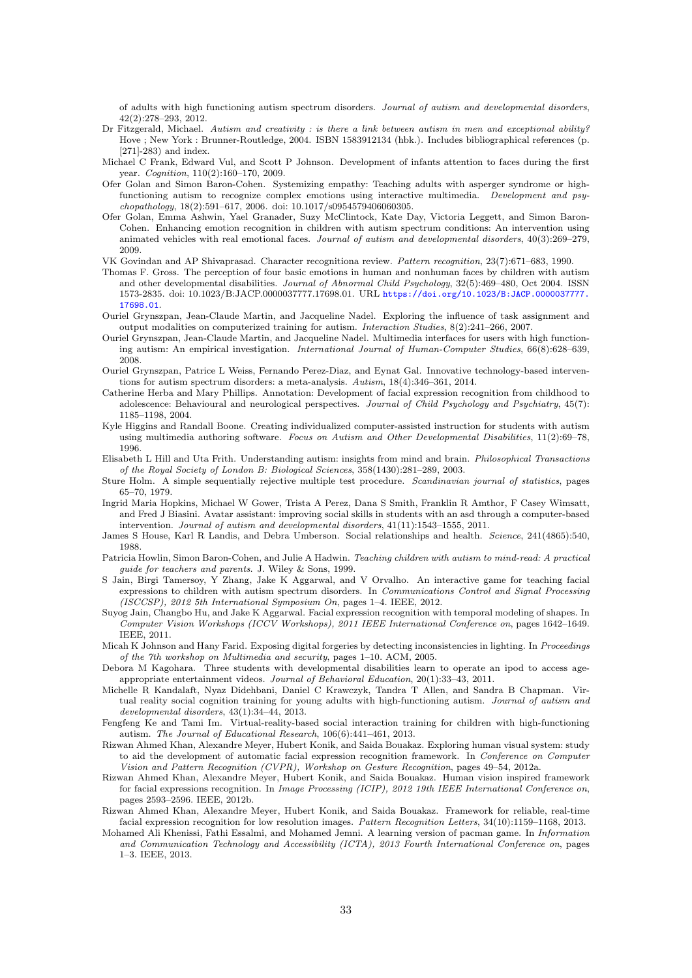of adults with high functioning autism spectrum disorders. Journal of autism and developmental disorders, 42(2):278–293, 2012.

- <span id="page-32-12"></span>Dr Fitzgerald, Michael. Autism and creativity : is there a link between autism in men and exceptional ability? Hove ; New York : Brunner-Routledge, 2004. ISBN 1583912134 (hbk.). Includes bibliographical references (p. [271]-283) and index.
- <span id="page-32-1"></span>Michael C Frank, Edward Vul, and Scott P Johnson. Development of infants attention to faces during the first year. Cognition, 110(2):160–170, 2009.
- <span id="page-32-16"></span>Ofer Golan and Simon Baron-Cohen. Systemizing empathy: Teaching adults with asperger syndrome or highfunctioning autism to recognize complex emotions using interactive multimedia. Development and psychopathology, 18(2):591–617, 2006. doi: 10.1017/s0954579406060305.
- <span id="page-32-19"></span>Ofer Golan, Emma Ashwin, Yael Granader, Suzy McClintock, Kate Day, Victoria Leggett, and Simon Baron-Cohen. Enhancing emotion recognition in children with autism spectrum conditions: An intervention using animated vehicles with real emotional faces. Journal of autism and developmental disorders,  $40(3):269-279$ , 2009.
- <span id="page-32-6"></span>VK Govindan and AP Shivaprasad. Character recognitiona review. Pattern recognition, 23(7):671–683, 1990.
- <span id="page-32-3"></span>Thomas F. Gross. The perception of four basic emotions in human and nonhuman faces by children with autism and other developmental disabilities. Journal of Abnormal Child Psychology, 32(5):469-480, Oct 2004. ISSN 1573-2835. doi: 10.1023/B:JACP.0000037777.17698.01. URL [https://doi.org/10.1023/B:JACP.0000037777.](https://doi.org/10.1023/B:JACP.0000037777.17698.01) [17698.01](https://doi.org/10.1023/B:JACP.0000037777.17698.01).
- <span id="page-32-24"></span>Ouriel Grynszpan, Jean-Claude Martin, and Jacqueline Nadel. Exploring the influence of task assignment and output modalities on computerized training for autism. Interaction Studies, 8(2):241–266, 2007.
- <span id="page-32-13"></span>Ouriel Grynszpan, Jean-Claude Martin, and Jacqueline Nadel. Multimedia interfaces for users with high functioning autism: An empirical investigation. International Journal of Human-Computer Studies, 66(8):628–639, 2008.
- <span id="page-32-10"></span>Ouriel Grynszpan, Patrice L Weiss, Fernando Perez-Diaz, and Eynat Gal. Innovative technology-based interventions for autism spectrum disorders: a meta-analysis. Autism, 18(4):346–361, 2014.
- <span id="page-32-2"></span>Catherine Herba and Mary Phillips. Annotation: Development of facial expression recognition from childhood to adolescence: Behavioural and neurological perspectives. Journal of Child Psychology and Psychiatry, 45(7): 1185–1198, 2004.
- <span id="page-32-25"></span>Kyle Higgins and Randall Boone. Creating individualized computer-assisted instruction for students with autism using multimedia authoring software. Focus on Autism and Other Developmental Disabilities, 11(2):69–78, 1996.
- <span id="page-32-11"></span>Elisabeth L Hill and Uta Frith. Understanding autism: insights from mind and brain. Philosophical Transactions of the Royal Society of London B: Biological Sciences, 358(1430):281–289, 2003.
- <span id="page-32-17"></span>Sture Holm. A simple sequentially rejective multiple test procedure. Scandinavian journal of statistics, pages 65–70, 1979.
- <span id="page-32-20"></span>Ingrid Maria Hopkins, Michael W Gower, Trista A Perez, Dana S Smith, Franklin R Amthor, F Casey Wimsatt, and Fred J Biasini. Avatar assistant: improving social skills in students with an asd through a computer-based intervention. Journal of autism and developmental disorders, 41(11):1543–1555, 2011.
- <span id="page-32-4"></span>James S House, Karl R Landis, and Debra Umberson. Social relationships and health. Science, 241(4865):540, 1988.
- <span id="page-32-14"></span>Patricia Howlin, Simon Baron-Cohen, and Julie A Hadwin. Teaching children with autism to mind-read: A practical guide for teachers and parents. J. Wiley & Sons, 1999.
- <span id="page-32-5"></span>S Jain, Birgi Tamersoy, Y Zhang, Jake K Aggarwal, and V Orvalho. An interactive game for teaching facial expressions to children with autism spectrum disorders. In Communications Control and Signal Processing (ISCCSP), 2012 5th International Symposium On, pages 1–4. IEEE, 2012.
- <span id="page-32-21"></span>Suyog Jain, Changbo Hu, and Jake K Aggarwal. Facial expression recognition with temporal modeling of shapes. In Computer Vision Workshops (ICCV Workshops), 2011 IEEE International Conference on, pages 1642–1649. IEEE, 2011.
- <span id="page-32-7"></span>Micah K Johnson and Hany Farid. Exposing digital forgeries by detecting inconsistencies in lighting. In *Proceedings* of the 7th workshop on Multimedia and security, pages 1–10. ACM, 2005.
- <span id="page-32-15"></span>Debora M Kagohara. Three students with developmental disabilities learn to operate an ipod to access ageappropriate entertainment videos. Journal of Behavioral Education, 20(1):33–43, 2011.
- <span id="page-32-23"></span>Michelle R Kandalaft, Nyaz Didehbani, Daniel C Krawczyk, Tandra T Allen, and Sandra B Chapman. Virtual reality social cognition training for young adults with high-functioning autism. Journal of autism and developmental disorders, 43(1):34–44, 2013.
- <span id="page-32-22"></span>Fengfeng Ke and Tami Im. Virtual-reality-based social interaction training for children with high-functioning autism. The Journal of Educational Research, 106(6):441–461, 2013.
- <span id="page-32-0"></span>Rizwan Ahmed Khan, Alexandre Meyer, Hubert Konik, and Saida Bouakaz. Exploring human visual system: study to aid the development of automatic facial expression recognition framework. In Conference on Computer Vision and Pattern Recognition (CVPR), Workshop on Gesture Recognition, pages 49–54, 2012a.
- <span id="page-32-9"></span>Rizwan Ahmed Khan, Alexandre Meyer, Hubert Konik, and Saida Bouakaz. Human vision inspired framework for facial expressions recognition. In Image Processing (ICIP), 2012 19th IEEE International Conference on, pages 2593–2596. IEEE, 2012b.
- <span id="page-32-8"></span>Rizwan Ahmed Khan, Alexandre Meyer, Hubert Konik, and Saida Bouakaz. Framework for reliable, real-time facial expression recognition for low resolution images. Pattern Recognition Letters, 34(10):1159–1168, 2013.
- <span id="page-32-18"></span>Mohamed Ali Khenissi, Fathi Essalmi, and Mohamed Jemni. A learning version of pacman game. In Information and Communication Technology and Accessibility (ICTA), 2013 Fourth International Conference on, pages 1–3. IEEE, 2013.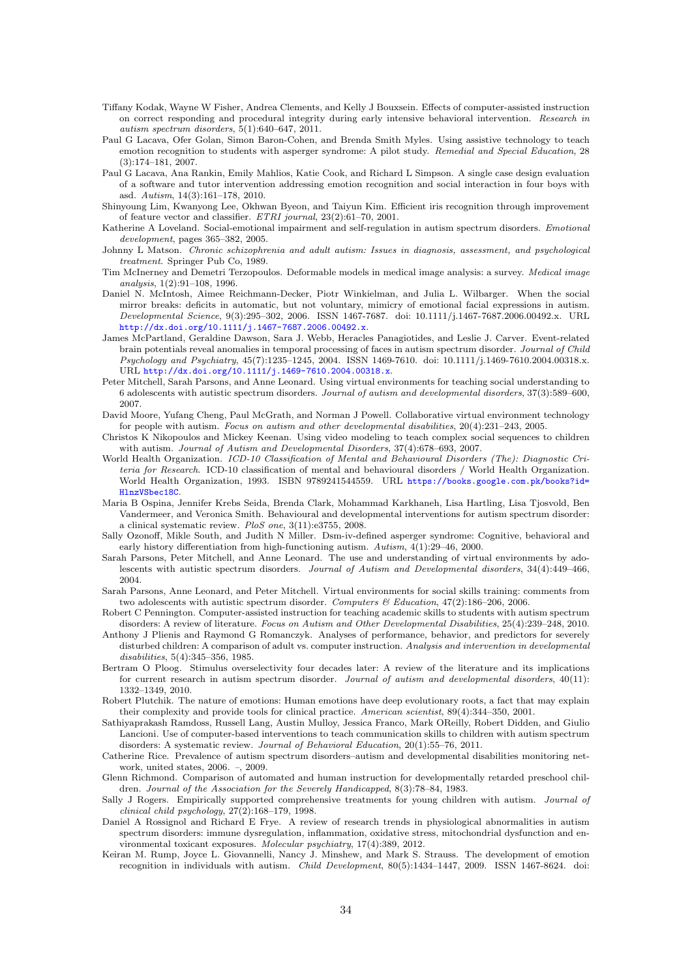- <span id="page-33-17"></span>Tiffany Kodak, Wayne W Fisher, Andrea Clements, and Kelly J Bouxsein. Effects of computer-assisted instruction on correct responding and procedural integrity during early intensive behavioral intervention. Research in autism spectrum disorders, 5(1):640–647, 2011.
- <span id="page-33-19"></span>Paul G Lacava, Ofer Golan, Simon Baron-Cohen, and Brenda Smith Myles. Using assistive technology to teach emotion recognition to students with asperger syndrome: A pilot study. Remedial and Special Education, 28 (3):174–181, 2007.
- <span id="page-33-20"></span>Paul G Lacava, Ana Rankin, Emily Mahlios, Katie Cook, and Richard L Simpson. A single case design evaluation of a software and tutor intervention addressing emotion recognition and social interaction in four boys with asd. Autism, 14(3):161–178, 2010.
- <span id="page-33-5"></span>Shinyoung Lim, Kwanyong Lee, Okhwan Byeon, and Taiyun Kim. Efficient iris recognition through improvement of feature vector and classifier. ETRI journal, 23(2):61–70, 2001.
- <span id="page-33-22"></span>Katherine A Loveland. Social-emotional impairment and self-regulation in autism spectrum disorders. Emotional development, pages 365–382, 2005.
- <span id="page-33-13"></span>Johnny L Matson. Chronic schizophrenia and adult autism: Issues in diagnosis, assessment, and psychological treatment. Springer Pub Co, 1989.
- <span id="page-33-6"></span>Tim McInerney and Demetri Terzopoulos. Deformable models in medical image analysis: a survey. Medical image analysis, 1(2):91–108, 1996.
- <span id="page-33-1"></span>Daniel N. McIntosh, Aimee Reichmann-Decker, Piotr Winkielman, and Julia L. Wilbarger. When the social mirror breaks: deficits in automatic, but not voluntary, mimicry of emotional facial expressions in autism. Developmental Science, 9(3):295–302, 2006. ISSN 1467-7687. doi: 10.1111/j.1467-7687.2006.00492.x. URL <http://dx.doi.org/10.1111/j.1467-7687.2006.00492.x>.
- <span id="page-33-0"></span>James McPartland, Geraldine Dawson, Sara J. Webb, Heracles Panagiotides, and Leslie J. Carver. Event-related brain potentials reveal anomalies in temporal processing of faces in autism spectrum disorder. Journal of Child Psychology and Psychiatry, 45(7):1235–1245, 2004. ISSN 1469-7610. doi: 10.1111/j.1469-7610.2004.00318.x. URL <http://dx.doi.org/10.1111/j.1469-7610.2004.00318.x>.
- <span id="page-33-25"></span>Peter Mitchell, Sarah Parsons, and Anne Leonard. Using virtual environments for teaching social understanding to 6 adolescents with autistic spectrum disorders. Journal of autism and developmental disorders, 37(3):589–600, 2007.
- <span id="page-33-18"></span>David Moore, Yufang Cheng, Paul McGrath, and Norman J Powell. Collaborative virtual environment technology for people with autism. Focus on autism and other developmental disabilities, 20(4):231–243, 2005.
- <span id="page-33-21"></span>Christos K Nikopoulos and Mickey Keenan. Using video modeling to teach complex social sequences to children with autism. Journal of Autism and Developmental Disorders, 37(4):678–693, 2007.
- <span id="page-33-3"></span>World Health Organization. ICD-10 Classification of Mental and Behavioural Disorders (The): Diagnostic Criteria for Research. ICD-10 classification of mental and behavioural disorders / World Health Organization. World Health Organization, 1993. ISBN 9789241544559. URL [https://books.google.com.pk/books?id=](https://books.google.com.pk/books?id=HlnzVSbec18C) [HlnzVSbec18C](https://books.google.com.pk/books?id=HlnzVSbec18C).
- <span id="page-33-14"></span>Maria B Ospina, Jennifer Krebs Seida, Brenda Clark, Mohammad Karkhaneh, Lisa Hartling, Lisa Tjosvold, Ben Vandermeer, and Veronica Smith. Behavioural and developmental interventions for autism spectrum disorder: a clinical systematic review. PloS one, 3(11):e3755, 2008.
- <span id="page-33-10"></span>Sally Ozonoff, Mikle South, and Judith N Miller. Dsm-iv-defined asperger syndrome: Cognitive, behavioral and early history differentiation from high-functioning autism. Autism, 4(1):29–46, 2000.
- <span id="page-33-23"></span>Sarah Parsons, Peter Mitchell, and Anne Leonard. The use and understanding of virtual environments by adolescents with autistic spectrum disorders. Journal of Autism and Developmental disorders, 34(4):449–466, 2004.
- <span id="page-33-24"></span>Sarah Parsons, Anne Leonard, and Peter Mitchell. Virtual environments for social skills training: comments from two adolescents with autistic spectrum disorder. Computers & Education, 47(2):186-206, 2006.
- <span id="page-33-15"></span>Robert C Pennington. Computer-assisted instruction for teaching academic skills to students with autism spectrum disorders: A review of literature. Focus on Autism and Other Developmental Disabilities, 25(4):239–248, 2010.
- <span id="page-33-7"></span>Anthony J Plienis and Raymond G Romanczyk. Analyses of performance, behavior, and predictors for severely disturbed children: A comparison of adult vs. computer instruction. Analysis and intervention in developmental disabilities, 5(4):345–356, 1985.
- <span id="page-33-11"></span>Bertram O Ploog. Stimulus overselectivity four decades later: A review of the literature and its implications for current research in autism spectrum disorder. Journal of autism and developmental disorders, 40(11): 1332–1349, 2010.
- <span id="page-33-26"></span>Robert Plutchik. The nature of emotions: Human emotions have deep evolutionary roots, a fact that may explain their complexity and provide tools for clinical practice. American scientist, 89(4):344–350, 2001.
- <span id="page-33-9"></span>Sathiyaprakash Ramdoss, Russell Lang, Austin Mulloy, Jessica Franco, Mark OReilly, Robert Didden, and Giulio Lancioni. Use of computer-based interventions to teach communication skills to children with autism spectrum disorders: A systematic review. Journal of Behavioral Education, 20(1):55–76, 2011.
- <span id="page-33-12"></span>Catherine Rice. Prevalence of autism spectrum disorders–autism and developmental disabilities monitoring network, united states, 2006. –, 2009.
- <span id="page-33-16"></span>Glenn Richmond. Comparison of automated and human instruction for developmentally retarded preschool children. Journal of the Association for the Severely Handicapped, 8(3):78–84, 1983.
- <span id="page-33-8"></span>Sally J Rogers. Empirically supported comprehensive treatments for young children with autism. Journal of clinical child psychology, 27(2):168–179, 1998.
- <span id="page-33-4"></span>Daniel A Rossignol and Richard E Frye. A review of research trends in physiological abnormalities in autism spectrum disorders: immune dysregulation, inflammation, oxidative stress, mitochondrial dysfunction and environmental toxicant exposures. Molecular psychiatry, 17(4):389, 2012.
- <span id="page-33-2"></span>Keiran M. Rump, Joyce L. Giovannelli, Nancy J. Minshew, and Mark S. Strauss. The development of emotion recognition in individuals with autism. Child Development, 80(5):1434–1447, 2009. ISSN 1467-8624. doi: